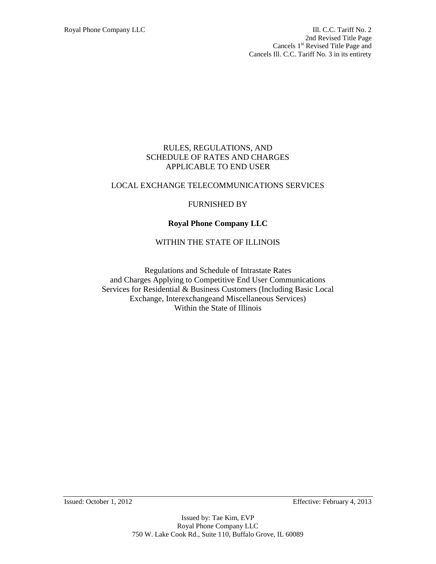Royal Phone Company LLC **III. C.C. Tariff No. 2** 2nd Revised Title Page Cancels 1<sup>st</sup> Revised Title Page and Cancels Ill. C.C. Tariff No. 3 in its entirety

#### RULES, REGULATIONS, AND SCHEDULE OF RATES AND CHARGES APPLICABLE TO END USER

#### LOCAL EXCHANGE TELECOMMUNICATIONS SERVICES

### FURNISHED BY

# **Royal Phone Company LLC**

### WITHIN THE STATE OF ILLINOIS

Regulations and Schedule of Intrastate Rates and Charges Applying to Competitive End User Communications Services for Residential & Business Customers (Including Basic Local Exchange, Interexchangeand Miscellaneous Services) Within the State of Illinois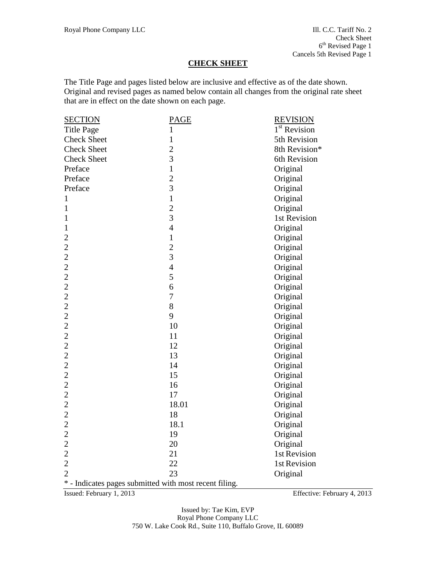### **CHECK SHEET**

The Title Page and pages listed below are inclusive and effective as of the date shown. Original and revised pages as named below contain all changes from the original rate sheet that are in effect on the date shown on each page.

| <b>SECTION</b>                                         | <b>PAGE</b>             | <b>REVISION</b>          |
|--------------------------------------------------------|-------------------------|--------------------------|
| <b>Title Page</b>                                      | $\mathbf{1}$            | 1 <sup>st</sup> Revision |
| <b>Check Sheet</b>                                     | $\mathbf{1}$            | 5th Revision             |
| <b>Check Sheet</b>                                     | $\overline{2}$          | 8th Revision*            |
| <b>Check Sheet</b>                                     | $\overline{3}$          | 6th Revision             |
| Preface                                                | $\mathbf{1}$            | Original                 |
| Preface                                                | $\overline{\mathbf{c}}$ | Original                 |
| Preface                                                | $\overline{3}$          | Original                 |
| $\mathbf{1}$                                           | $\mathbf{1}$            | Original                 |
| $\mathbf{1}$                                           | $\overline{c}$          | Original                 |
| 1                                                      | 3                       | 1st Revision             |
| $\mathbf{1}$                                           | $\overline{4}$          | Original                 |
| $\overline{c}$                                         | $\mathbf{1}$            | Original                 |
| $\overline{c}$                                         | $\overline{c}$          | Original                 |
| $\overline{c}$                                         | $\overline{3}$          | Original                 |
| $\overline{c}$                                         | $\overline{4}$          | Original                 |
| $\overline{c}$                                         | 5                       | Original                 |
| $\overline{c}$                                         | 6                       | Original                 |
| $\overline{2}$                                         | $\tau$                  | Original                 |
| $\overline{2}$                                         | 8                       | Original                 |
| $\overline{2}$                                         | 9                       | Original                 |
| $\overline{c}$                                         | 10                      | Original                 |
|                                                        | 11                      | Original                 |
|                                                        | 12                      | Original                 |
|                                                        | 13                      | Original                 |
|                                                        | 14                      | Original                 |
| $\begin{array}{c} 2 \\ 2 \\ 2 \\ 2 \end{array}$        | 15                      | Original                 |
| $\overline{c}$                                         | 16                      | Original                 |
| $\overline{c}$                                         | 17                      | Original                 |
| $\overline{c}$                                         | 18.01                   | Original                 |
| $\overline{c}$                                         | 18                      | Original                 |
| $\overline{c}$                                         | 18.1                    | Original                 |
| $\overline{c}$                                         | 19                      | Original                 |
|                                                        | 20                      | Original                 |
| $\frac{2}{2}$                                          | 21                      | 1st Revision             |
| $\overline{2}$                                         | 22                      | 1st Revision             |
| $\overline{2}$                                         | 23                      | Original                 |
| * - Indicates pages submitted with most recent filing. |                         |                          |

Issued: February 1, 2013 Effective: February 4, 2013

Issued by: Tae Kim, EVP Royal Phone Company LLC 750 W. Lake Cook Rd., Suite 110, Buffalo Grove, IL 60089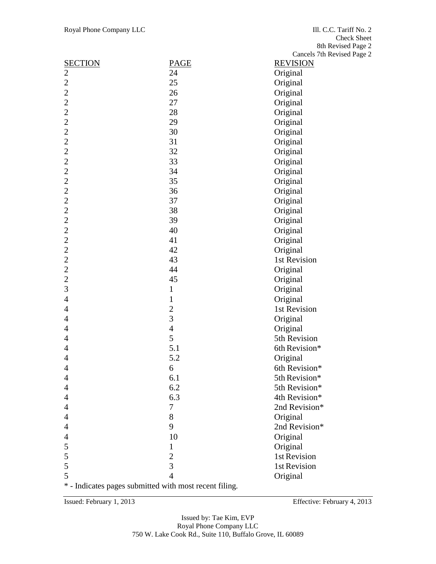| <b>SECTION</b>                                         | PAGE                    | <b>REVISION</b> |
|--------------------------------------------------------|-------------------------|-----------------|
| 2                                                      | 24                      | Original        |
| $\mathfrak{2}$                                         | 25                      | Original        |
| $\overline{2}$                                         | 26                      | Original        |
| $\overline{2}$                                         | 27                      | Original        |
| $\overline{2}$                                         | 28                      | Original        |
| $\overline{2}$                                         | 29                      | Original        |
| $\overline{2}$                                         | 30                      | Original        |
| $\overline{c}$                                         | 31                      | Original        |
| $\overline{c}$                                         | 32                      | Original        |
| $\overline{2}$                                         | 33                      | Original        |
| $\overline{2}$                                         | 34                      | Original        |
| $\overline{2}$                                         | 35                      | Original        |
| $\overline{c}$                                         | 36                      | Original        |
| $\overline{c}$                                         | 37                      | Original        |
| $\overline{2}$                                         | 38                      | Original        |
| $\overline{2}$                                         | 39                      | Original        |
| $\overline{2}$                                         | 40                      | Original        |
| $\overline{c}$                                         | 41                      | Original        |
| $\overline{2}$                                         | 42                      | Original        |
| $\overline{2}$                                         | 43                      | 1st Revision    |
| $\overline{2}$                                         | 44                      | Original        |
| $\overline{2}$                                         | 45                      | Original        |
| 3                                                      | $\mathbf{1}$            | Original        |
| $\overline{4}$                                         | $\mathbf{1}$            | Original        |
| 4                                                      | $\overline{\mathbf{c}}$ | 1st Revision    |
| $\overline{4}$                                         | $\overline{3}$          | Original        |
| 4                                                      | $\overline{4}$          | Original        |
| 4                                                      | 5                       | 5th Revision    |
| 4                                                      | 5.1                     | 6th Revision*   |
| $\overline{4}$                                         | 5.2                     | Original        |
| $\overline{4}$                                         | 6                       | 6th Revision*   |
| 4                                                      | 6.1                     | 5th Revision*   |
| $\overline{4}$                                         | 6.2                     | 5th Revision*   |
| $\overline{4}$                                         | 6.3                     | 4th Revision*   |
| 4                                                      | 7                       | 2nd Revision*   |
| 4                                                      | 8                       | Original        |
| 4                                                      | 9                       | 2nd Revision*   |
| 4                                                      | 10                      | Original        |
| 5                                                      | 1                       | Original        |
| 5                                                      | $\overline{2}$          | 1st Revision    |
| 5                                                      | 3                       | 1st Revision    |
| 5                                                      | $\overline{4}$          | Original        |
| * - Indicates pages submitted with most recent filing. |                         |                 |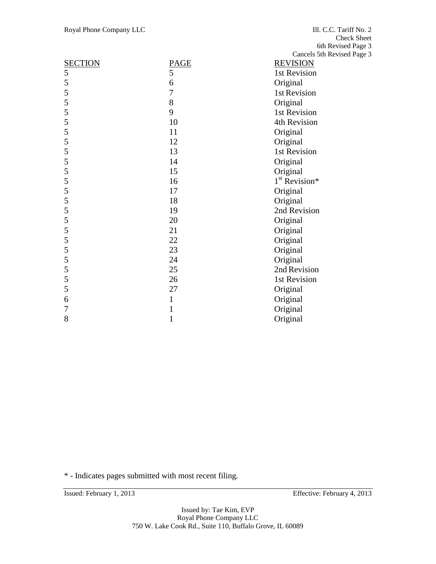|                |      | Cancels 5th Revised Pag   |
|----------------|------|---------------------------|
| <b>SECTION</b> | PAGE | <b>REVISION</b>           |
| 5              | 5    | 1st Revision              |
| 5              | 6    | Original                  |
| 5              | 7    | 1st Revision              |
| 5              | 8    | Original                  |
| 5              | 9    | 1st Revision              |
| 5              | 10   | 4th Revision              |
| 5              | 11   | Original                  |
| 5              | 12   | Original                  |
| 5              | 13   | 1st Revision              |
| 5              | 14   | Original                  |
| 5              | 15   | Original                  |
| 5              | 16   | 1 <sup>st</sup> Revision* |
| 5              | 17   | Original                  |
| 5              | 18   | Original                  |
| 5              | 19   | 2nd Revision              |
| 5              | 20   | Original                  |
| 5              | 21   | Original                  |
| 5              | 22   | Original                  |
| 5              | 23   | Original                  |
| 5              | 24   | Original                  |
| 5              | 25   | 2nd Revision              |
| 5              | 26   | 1st Revision              |
| 5              | 27   | Original                  |
| 6              | 1    | Original                  |
| 7              | 1    | Original                  |
| 8              | 1    | Original                  |
|                |      |                           |

\* - Indicates pages submitted with most recent filing.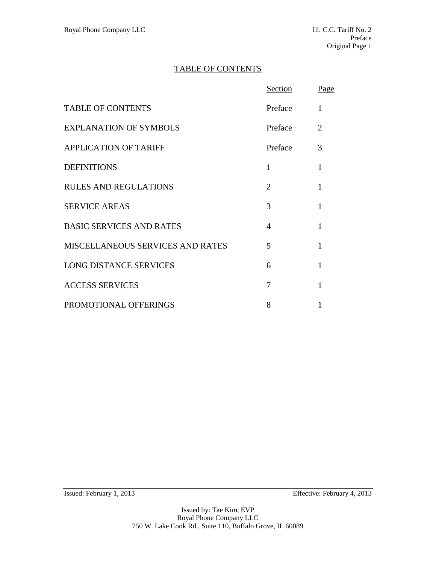# TABLE OF CONTENTS

|                                  | Section | Page |
|----------------------------------|---------|------|
| <b>TABLE OF CONTENTS</b>         | Preface | 1    |
| <b>EXPLANATION OF SYMBOLS</b>    | Preface | 2    |
| <b>APPLICATION OF TARIFF</b>     | Preface | 3    |
| <b>DEFINITIONS</b>               | 1       | 1    |
| <b>RULES AND REGULATIONS</b>     | 2       | 1    |
| <b>SERVICE AREAS</b>             | 3       | 1    |
| <b>BASIC SERVICES AND RATES</b>  | 4       | 1    |
| MISCELLANEOUS SERVICES AND RATES | 5       | 1    |
| <b>LONG DISTANCE SERVICES</b>    | 6       | 1    |
| <b>ACCESS SERVICES</b>           | 7       | 1    |
| PROMOTIONAL OFFERINGS            | 8       |      |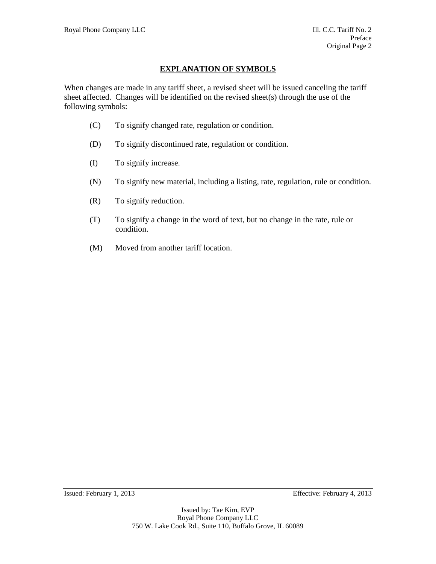# **EXPLANATION OF SYMBOLS**

When changes are made in any tariff sheet, a revised sheet will be issued canceling the tariff sheet affected. Changes will be identified on the revised sheet(s) through the use of the following symbols:

- (C) To signify changed rate, regulation or condition.
- (D) To signify discontinued rate, regulation or condition.
- (I) To signify increase.
- (N) To signify new material, including a listing, rate, regulation, rule or condition.
- (R) To signify reduction.
- (T) To signify a change in the word of text, but no change in the rate, rule or condition.
- (M) Moved from another tariff location.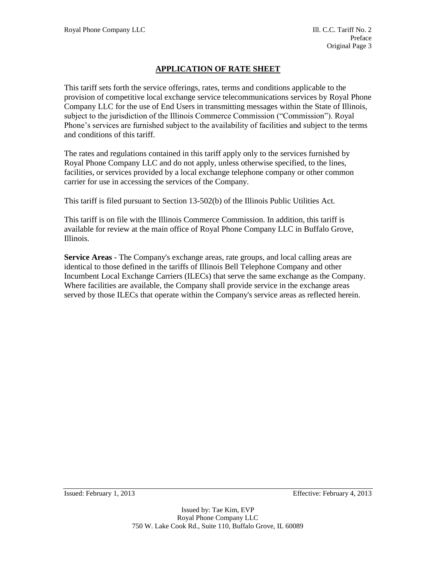# **APPLICATION OF RATE SHEET**

This tariff sets forth the service offerings, rates, terms and conditions applicable to the provision of competitive local exchange service telecommunications services by Royal Phone Company LLC for the use of End Users in transmitting messages within the State of Illinois, subject to the jurisdiction of the Illinois Commerce Commission ("Commission"). Royal Phone's services are furnished subject to the availability of facilities and subject to the terms and conditions of this tariff.

The rates and regulations contained in this tariff apply only to the services furnished by Royal Phone Company LLC and do not apply, unless otherwise specified, to the lines, facilities, or services provided by a local exchange telephone company or other common carrier for use in accessing the services of the Company.

This tariff is filed pursuant to Section 13-502(b) of the Illinois Public Utilities Act.

This tariff is on file with the Illinois Commerce Commission. In addition, this tariff is available for review at the main office of Royal Phone Company LLC in Buffalo Grove, Illinois.

**Service Areas** - The Company's exchange areas, rate groups, and local calling areas are identical to those defined in the tariffs of Illinois Bell Telephone Company and other Incumbent Local Exchange Carriers (ILECs) that serve the same exchange as the Company. Where facilities are available, the Company shall provide service in the exchange areas served by those ILECs that operate within the Company's service areas as reflected herein.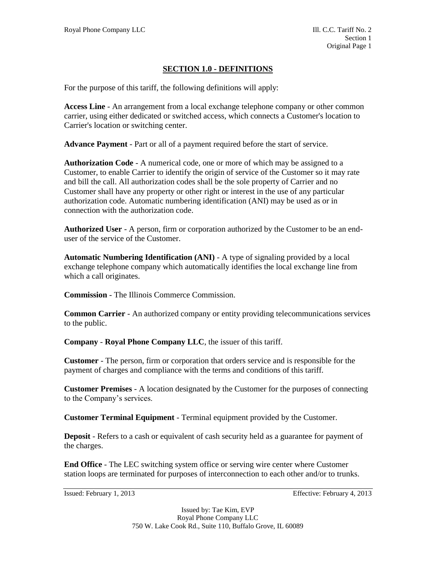### **SECTION 1.0 - DEFINITIONS**

For the purpose of this tariff, the following definitions will apply:

**Access Line** - An arrangement from a local exchange telephone company or other common carrier, using either dedicated or switched access, which connects a Customer's location to Carrier's location or switching center.

**Advance Payment** - Part or all of a payment required before the start of service.

**Authorization Code** - A numerical code, one or more of which may be assigned to a Customer, to enable Carrier to identify the origin of service of the Customer so it may rate and bill the call. All authorization codes shall be the sole property of Carrier and no Customer shall have any property or other right or interest in the use of any particular authorization code. Automatic numbering identification (ANI) may be used as or in connection with the authorization code.

**Authorized User** - A person, firm or corporation authorized by the Customer to be an enduser of the service of the Customer.

**Automatic Numbering Identification (ANI)** - A type of signaling provided by a local exchange telephone company which automatically identifies the local exchange line from which a call originates.

**Commission** - The Illinois Commerce Commission.

**Common Carrier** - An authorized company or entity providing telecommunications services to the public.

**Company** - **Royal Phone Company LLC**, the issuer of this tariff.

**Customer** - The person, firm or corporation that orders service and is responsible for the payment of charges and compliance with the terms and conditions of this tariff.

**Customer Premises** - A location designated by the Customer for the purposes of connecting to the Company's services.

**Customer Terminal Equipment** - Terminal equipment provided by the Customer.

**Deposit** - Refers to a cash or equivalent of cash security held as a guarantee for payment of the charges.

**End Office** - The LEC switching system office or serving wire center where Customer station loops are terminated for purposes of interconnection to each other and/or to trunks.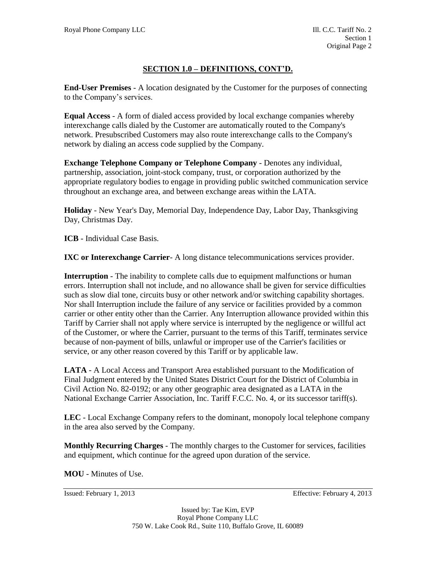# **SECTION 1.0 – DEFINITIONS, CONT'D.**

**End-User Premises** - A location designated by the Customer for the purposes of connecting to the Company's services.

**Equal Access** - A form of dialed access provided by local exchange companies whereby interexchange calls dialed by the Customer are automatically routed to the Company's network. Presubscribed Customers may also route interexchange calls to the Company's network by dialing an access code supplied by the Company.

**Exchange Telephone Company or Telephone Company** - Denotes any individual, partnership, association, joint-stock company, trust, or corporation authorized by the appropriate regulatory bodies to engage in providing public switched communication service throughout an exchange area, and between exchange areas within the LATA.

**Holiday** - New Year's Day, Memorial Day, Independence Day, Labor Day, Thanksgiving Day, Christmas Day.

**ICB** - Individual Case Basis.

**IXC or Interexchange Carrier**- A long distance telecommunications services provider.

**Interruption** - The inability to complete calls due to equipment malfunctions or human errors. Interruption shall not include, and no allowance shall be given for service difficulties such as slow dial tone, circuits busy or other network and/or switching capability shortages. Nor shall Interruption include the failure of any service or facilities provided by a common carrier or other entity other than the Carrier. Any Interruption allowance provided within this Tariff by Carrier shall not apply where service is interrupted by the negligence or willful act of the Customer, or where the Carrier, pursuant to the terms of this Tariff, terminates service because of non-payment of bills, unlawful or improper use of the Carrier's facilities or service, or any other reason covered by this Tariff or by applicable law.

**LATA** - A Local Access and Transport Area established pursuant to the Modification of Final Judgment entered by the United States District Court for the District of Columbia in Civil Action No. 82-0192; or any other geographic area designated as a LATA in the National Exchange Carrier Association, Inc. Tariff F.C.C. No. 4, or its successor tariff(s).

**LEC** - Local Exchange Company refers to the dominant, monopoly local telephone company in the area also served by the Company.

**Monthly Recurring Charges** - The monthly charges to the Customer for services, facilities and equipment, which continue for the agreed upon duration of the service.

**MOU** - Minutes of Use.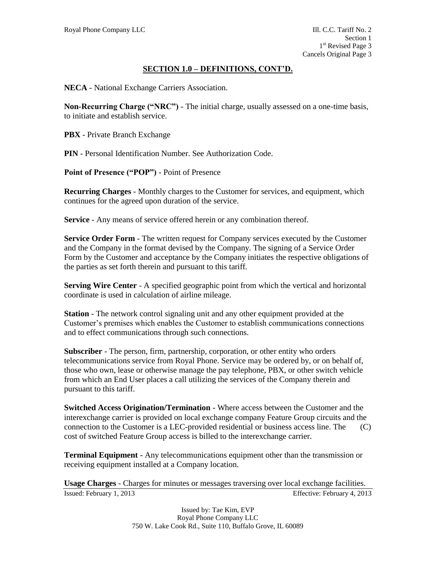### **SECTION 1.0 – DEFINITIONS, CONT'D.**

**NECA** - National Exchange Carriers Association.

**Non-Recurring Charge ("NRC")** - The initial charge, usually assessed on a one-time basis, to initiate and establish service.

**PBX** - Private Branch Exchange

**PIN** - Personal Identification Number. See Authorization Code.

**Point of Presence ("POP")** - Point of Presence

**Recurring Charges** - Monthly charges to the Customer for services, and equipment, which continues for the agreed upon duration of the service.

**Service** - Any means of service offered herein or any combination thereof.

**Service Order Form** - The written request for Company services executed by the Customer and the Company in the format devised by the Company. The signing of a Service Order Form by the Customer and acceptance by the Company initiates the respective obligations of the parties as set forth therein and pursuant to this tariff.

**Serving Wire Center** - A specified geographic point from which the vertical and horizontal coordinate is used in calculation of airline mileage.

**Station** - The network control signaling unit and any other equipment provided at the Customer's premises which enables the Customer to establish communications connections and to effect communications through such connections.

**Subscriber** - The person, firm, partnership, corporation, or other entity who orders telecommunications service from Royal Phone. Service may be ordered by, or on behalf of, those who own, lease or otherwise manage the pay telephone, PBX, or other switch vehicle from which an End User places a call utilizing the services of the Company therein and pursuant to this tariff.

**Switched Access Origination/Termination** - Where access between the Customer and the interexchange carrier is provided on local exchange company Feature Group circuits and the connection to the Customer is a LEC-provided residential or business access line. The (C) cost of switched Feature Group access is billed to the interexchange carrier.

**Terminal Equipment** - Any telecommunications equipment other than the transmission or receiving equipment installed at a Company location.

Issued: February 1, 2013 Effective: February 4, 2013 **Usage Charges** - Charges for minutes or messages traversing over local exchange facilities.

> Issued by: Tae Kim, EVP Royal Phone Company LLC 750 W. Lake Cook Rd., Suite 110, Buffalo Grove, IL 60089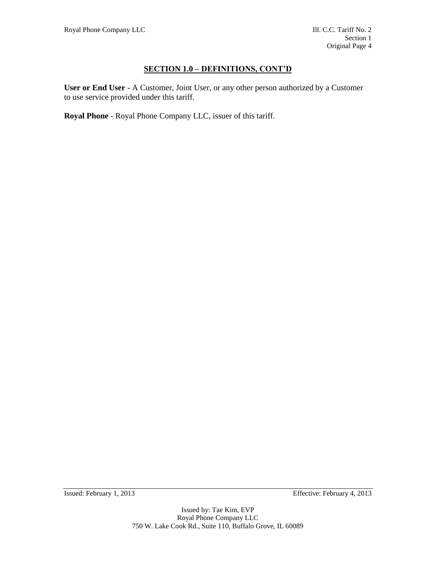# **SECTION 1.0 – DEFINITIONS, CONT'D**

**User or End User** - A Customer, Joint User, or any other person authorized by a Customer to use service provided under this tariff.

**Royal Phone** - Royal Phone Company LLC, issuer of this tariff.

Issued: February 1, 2013 Effective: February 4, 2013

Issued by: Tae Kim, EVP Royal Phone Company LLC 750 W. Lake Cook Rd., Suite 110, Buffalo Grove, IL 60089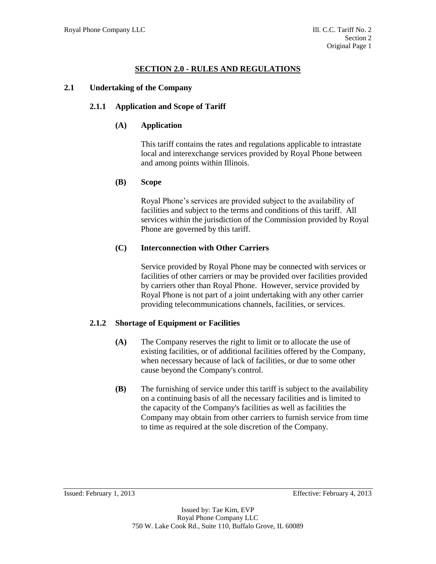# **SECTION 2.0 - RULES AND REGULATIONS**

#### **2.1 Undertaking of the Company**

### **2.1.1 Application and Scope of Tariff**

### **(A) Application**

This tariff contains the rates and regulations applicable to intrastate local and interexchange services provided by Royal Phone between and among points within Illinois.

### **(B) Scope**

Royal Phone's services are provided subject to the availability of facilities and subject to the terms and conditions of this tariff. All services within the jurisdiction of the Commission provided by Royal Phone are governed by this tariff.

### **(C) Interconnection with Other Carriers**

Service provided by Royal Phone may be connected with services or facilities of other carriers or may be provided over facilities provided by carriers other than Royal Phone. However, service provided by Royal Phone is not part of a joint undertaking with any other carrier providing telecommunications channels, facilities, or services.

# **2.1.2 Shortage of Equipment or Facilities**

- **(A)** The Company reserves the right to limit or to allocate the use of existing facilities, or of additional facilities offered by the Company, when necessary because of lack of facilities, or due to some other cause beyond the Company's control.
- **(B)** The furnishing of service under this tariff is subject to the availability on a continuing basis of all the necessary facilities and is limited to the capacity of the Company's facilities as well as facilities the Company may obtain from other carriers to furnish service from time to time as required at the sole discretion of the Company.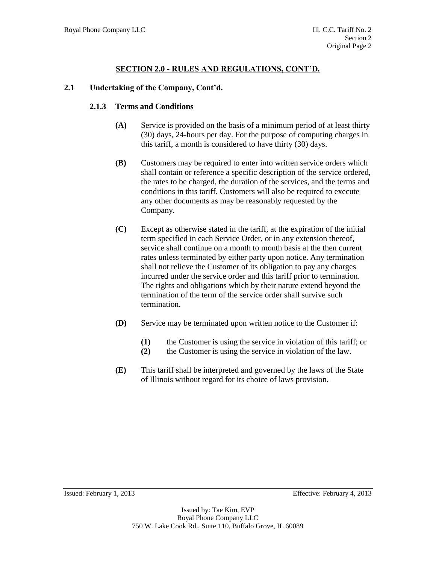#### **2.1 Undertaking of the Company, Cont'd.**

#### **2.1.3 Terms and Conditions**

- **(A)** Service is provided on the basis of a minimum period of at least thirty (30) days, 24-hours per day. For the purpose of computing charges in this tariff, a month is considered to have thirty (30) days.
- **(B)** Customers may be required to enter into written service orders which shall contain or reference a specific description of the service ordered, the rates to be charged, the duration of the services, and the terms and conditions in this tariff. Customers will also be required to execute any other documents as may be reasonably requested by the Company.
- **(C)** Except as otherwise stated in the tariff, at the expiration of the initial term specified in each Service Order, or in any extension thereof, service shall continue on a month to month basis at the then current rates unless terminated by either party upon notice. Any termination shall not relieve the Customer of its obligation to pay any charges incurred under the service order and this tariff prior to termination. The rights and obligations which by their nature extend beyond the termination of the term of the service order shall survive such termination.
- **(D)** Service may be terminated upon written notice to the Customer if:
	- **(1)** the Customer is using the service in violation of this tariff; or
	- **(2)** the Customer is using the service in violation of the law.
- **(E)** This tariff shall be interpreted and governed by the laws of the State of Illinois without regard for its choice of laws provision.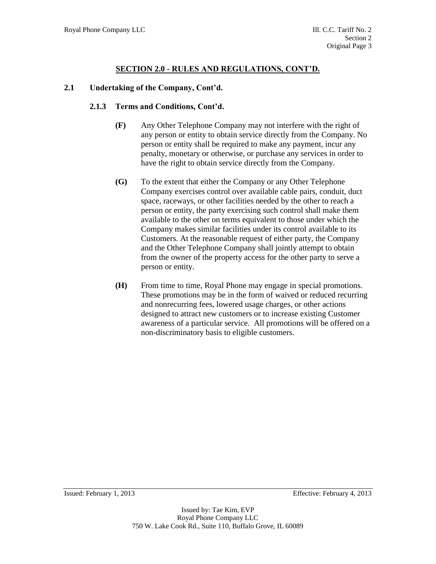#### **2.1 Undertaking of the Company, Cont'd.**

#### **2.1.3 Terms and Conditions, Cont'd.**

- **(F)** Any Other Telephone Company may not interfere with the right of any person or entity to obtain service directly from the Company. No person or entity shall be required to make any payment, incur any penalty, monetary or otherwise, or purchase any services in order to have the right to obtain service directly from the Company.
- **(G)** To the extent that either the Company or any Other Telephone Company exercises control over available cable pairs, conduit, duct space, raceways, or other facilities needed by the other to reach a person or entity, the party exercising such control shall make them available to the other on terms equivalent to those under which the Company makes similar facilities under its control available to its Customers. At the reasonable request of either party, the Company and the Other Telephone Company shall jointly attempt to obtain from the owner of the property access for the other party to serve a person or entity.
- **(H)** From time to time, Royal Phone may engage in special promotions. These promotions may be in the form of waived or reduced recurring and nonrecurring fees, lowered usage charges, or other actions designed to attract new customers or to increase existing Customer awareness of a particular service. All promotions will be offered on a non-discriminatory basis to eligible customers.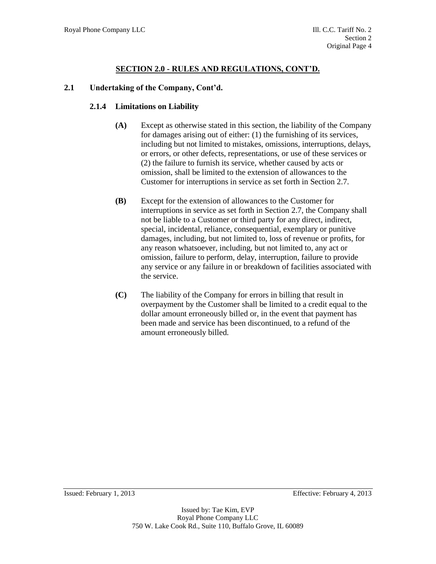# **2.1 Undertaking of the Company, Cont'd.**

### **2.1.4 Limitations on Liability**

- **(A)** Except as otherwise stated in this section, the liability of the Company for damages arising out of either: (1) the furnishing of its services, including but not limited to mistakes, omissions, interruptions, delays, or errors, or other defects, representations, or use of these services or (2) the failure to furnish its service, whether caused by acts or omission, shall be limited to the extension of allowances to the Customer for interruptions in service as set forth in Section 2.7.
- **(B)** Except for the extension of allowances to the Customer for interruptions in service as set forth in Section 2.7, the Company shall not be liable to a Customer or third party for any direct, indirect, special, incidental, reliance, consequential, exemplary or punitive damages, including, but not limited to, loss of revenue or profits, for any reason whatsoever, including, but not limited to, any act or omission, failure to perform, delay, interruption, failure to provide any service or any failure in or breakdown of facilities associated with the service.
- **(C)** The liability of the Company for errors in billing that result in overpayment by the Customer shall be limited to a credit equal to the dollar amount erroneously billed or, in the event that payment has been made and service has been discontinued, to a refund of the amount erroneously billed.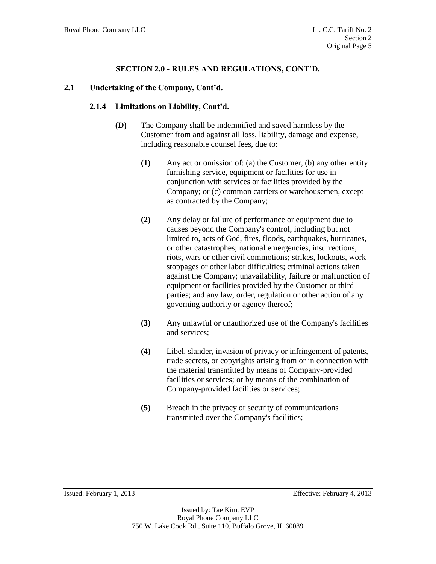#### **2.1 Undertaking of the Company, Cont'd.**

#### **2.1.4 Limitations on Liability, Cont'd.**

- **(D)** The Company shall be indemnified and saved harmless by the Customer from and against all loss, liability, damage and expense, including reasonable counsel fees, due to:
	- **(1)** Any act or omission of: (a) the Customer, (b) any other entity furnishing service, equipment or facilities for use in conjunction with services or facilities provided by the Company; or (c) common carriers or warehousemen, except as contracted by the Company;
	- **(2)** Any delay or failure of performance or equipment due to causes beyond the Company's control, including but not limited to, acts of God, fires, floods, earthquakes, hurricanes, or other catastrophes; national emergencies, insurrections, riots, wars or other civil commotions; strikes, lockouts, work stoppages or other labor difficulties; criminal actions taken against the Company; unavailability, failure or malfunction of equipment or facilities provided by the Customer or third parties; and any law, order, regulation or other action of any governing authority or agency thereof;
	- **(3)** Any unlawful or unauthorized use of the Company's facilities and services;
	- **(4)** Libel, slander, invasion of privacy or infringement of patents, trade secrets, or copyrights arising from or in connection with the material transmitted by means of Company-provided facilities or services; or by means of the combination of Company-provided facilities or services;
	- **(5)** Breach in the privacy or security of communications transmitted over the Company's facilities;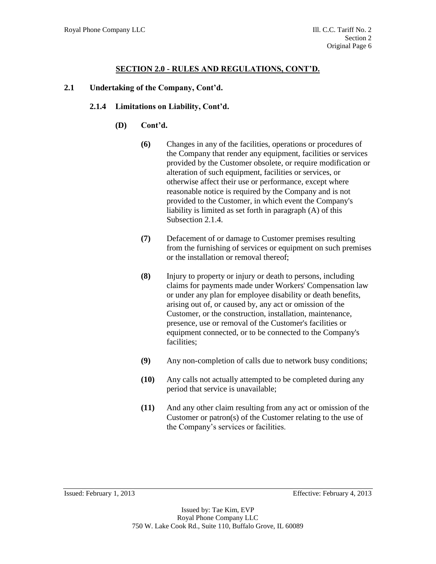#### **2.1 Undertaking of the Company, Cont'd.**

#### **2.1.4 Limitations on Liability, Cont'd.**

- **(D) Cont'd.**
	- **(6)** Changes in any of the facilities, operations or procedures of the Company that render any equipment, facilities or services provided by the Customer obsolete, or require modification or alteration of such equipment, facilities or services, or otherwise affect their use or performance, except where reasonable notice is required by the Company and is not provided to the Customer, in which event the Company's liability is limited as set forth in paragraph (A) of this Subsection 2.1.4.
	- **(7)** Defacement of or damage to Customer premises resulting from the furnishing of services or equipment on such premises or the installation or removal thereof;
	- **(8)** Injury to property or injury or death to persons, including claims for payments made under Workers' Compensation law or under any plan for employee disability or death benefits, arising out of, or caused by, any act or omission of the Customer, or the construction, installation, maintenance, presence, use or removal of the Customer's facilities or equipment connected, or to be connected to the Company's facilities;
	- **(9)** Any non-completion of calls due to network busy conditions;
	- **(10)** Any calls not actually attempted to be completed during any period that service is unavailable;
	- **(11)** And any other claim resulting from any act or omission of the Customer or patron(s) of the Customer relating to the use of the Company's services or facilities.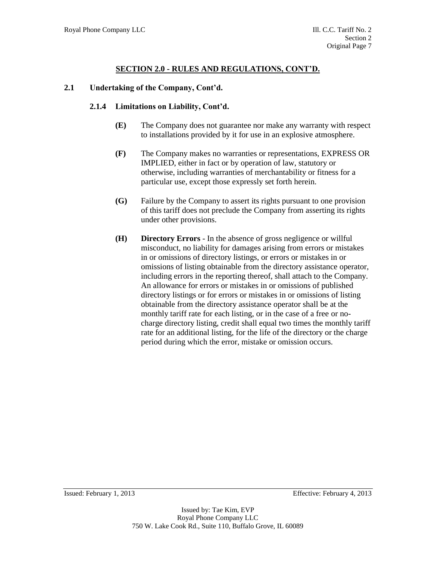#### **2.1 Undertaking of the Company, Cont'd.**

#### **2.1.4 Limitations on Liability, Cont'd.**

- **(E)** The Company does not guarantee nor make any warranty with respect to installations provided by it for use in an explosive atmosphere.
- **(F)** The Company makes no warranties or representations, EXPRESS OR IMPLIED, either in fact or by operation of law, statutory or otherwise, including warranties of merchantability or fitness for a particular use, except those expressly set forth herein.
- **(G)** Failure by the Company to assert its rights pursuant to one provision of this tariff does not preclude the Company from asserting its rights under other provisions.
- **(H) Directory Errors**  In the absence of gross negligence or willful misconduct, no liability for damages arising from errors or mistakes in or omissions of directory listings, or errors or mistakes in or omissions of listing obtainable from the directory assistance operator, including errors in the reporting thereof, shall attach to the Company. An allowance for errors or mistakes in or omissions of published directory listings or for errors or mistakes in or omissions of listing obtainable from the directory assistance operator shall be at the monthly tariff rate for each listing, or in the case of a free or nocharge directory listing, credit shall equal two times the monthly tariff rate for an additional listing, for the life of the directory or the charge period during which the error, mistake or omission occurs.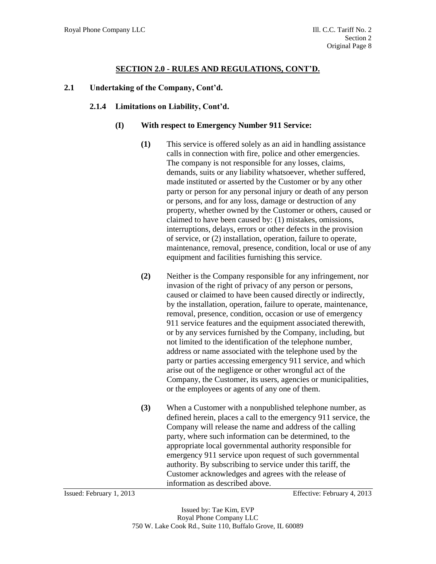#### **2.1 Undertaking of the Company, Cont'd.**

#### **2.1.4 Limitations on Liability, Cont'd.**

#### **(I) With respect to Emergency Number 911 Service:**

- **(1)** This service is offered solely as an aid in handling assistance calls in connection with fire, police and other emergencies. The company is not responsible for any losses, claims, demands, suits or any liability whatsoever, whether suffered, made instituted or asserted by the Customer or by any other party or person for any personal injury or death of any person or persons, and for any loss, damage or destruction of any property, whether owned by the Customer or others, caused or claimed to have been caused by: (1) mistakes, omissions, interruptions, delays, errors or other defects in the provision of service, or (2) installation, operation, failure to operate, maintenance, removal, presence, condition, local or use of any equipment and facilities furnishing this service.
- **(2)** Neither is the Company responsible for any infringement, nor invasion of the right of privacy of any person or persons, caused or claimed to have been caused directly or indirectly, by the installation, operation, failure to operate, maintenance, removal, presence, condition, occasion or use of emergency 911 service features and the equipment associated therewith, or by any services furnished by the Company, including, but not limited to the identification of the telephone number, address or name associated with the telephone used by the party or parties accessing emergency 911 service, and which arise out of the negligence or other wrongful act of the Company, the Customer, its users, agencies or municipalities, or the employees or agents of any one of them.
- **(3)** When a Customer with a nonpublished telephone number, as defined herein, places a call to the emergency 911 service, the Company will release the name and address of the calling party, where such information can be determined, to the appropriate local governmental authority responsible for emergency 911 service upon request of such governmental authority. By subscribing to service under this tariff, the Customer acknowledges and agrees with the release of information as described above.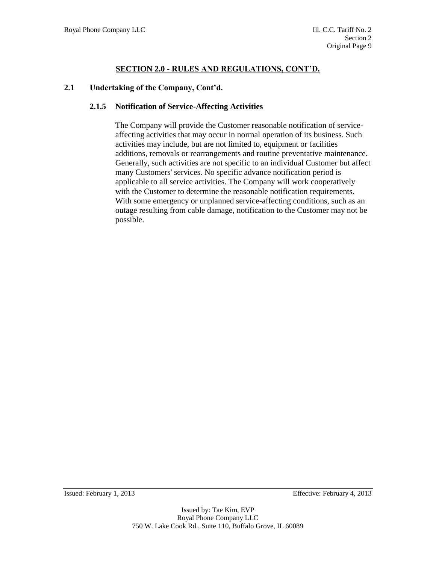#### **2.1 Undertaking of the Company, Cont'd.**

#### **2.1.5 Notification of Service-Affecting Activities**

The Company will provide the Customer reasonable notification of serviceaffecting activities that may occur in normal operation of its business. Such activities may include, but are not limited to, equipment or facilities additions, removals or rearrangements and routine preventative maintenance. Generally, such activities are not specific to an individual Customer but affect many Customers' services. No specific advance notification period is applicable to all service activities. The Company will work cooperatively with the Customer to determine the reasonable notification requirements. With some emergency or unplanned service-affecting conditions, such as an outage resulting from cable damage, notification to the Customer may not be possible.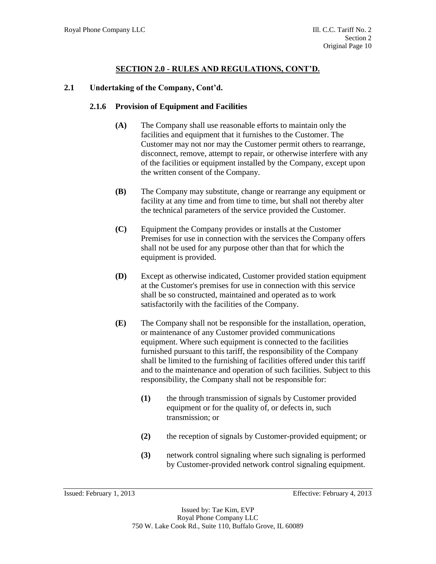#### **2.1 Undertaking of the Company, Cont'd.**

#### **2.1.6 Provision of Equipment and Facilities**

- **(A)** The Company shall use reasonable efforts to maintain only the facilities and equipment that it furnishes to the Customer. The Customer may not nor may the Customer permit others to rearrange, disconnect, remove, attempt to repair, or otherwise interfere with any of the facilities or equipment installed by the Company, except upon the written consent of the Company.
- **(B)** The Company may substitute, change or rearrange any equipment or facility at any time and from time to time, but shall not thereby alter the technical parameters of the service provided the Customer.
- **(C)** Equipment the Company provides or installs at the Customer Premises for use in connection with the services the Company offers shall not be used for any purpose other than that for which the equipment is provided.
- **(D)** Except as otherwise indicated, Customer provided station equipment at the Customer's premises for use in connection with this service shall be so constructed, maintained and operated as to work satisfactorily with the facilities of the Company.
- **(E)** The Company shall not be responsible for the installation, operation, or maintenance of any Customer provided communications equipment. Where such equipment is connected to the facilities furnished pursuant to this tariff, the responsibility of the Company shall be limited to the furnishing of facilities offered under this tariff and to the maintenance and operation of such facilities. Subject to this responsibility, the Company shall not be responsible for:
	- **(1)** the through transmission of signals by Customer provided equipment or for the quality of, or defects in, such transmission; or
	- **(2)** the reception of signals by Customer-provided equipment; or
	- **(3)** network control signaling where such signaling is performed by Customer-provided network control signaling equipment.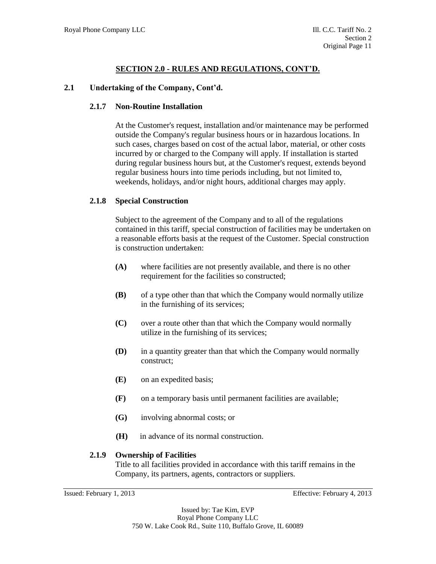### **2.1 Undertaking of the Company, Cont'd.**

### **2.1.7 Non-Routine Installation**

At the Customer's request, installation and/or maintenance may be performed outside the Company's regular business hours or in hazardous locations. In such cases, charges based on cost of the actual labor, material, or other costs incurred by or charged to the Company will apply. If installation is started during regular business hours but, at the Customer's request, extends beyond regular business hours into time periods including, but not limited to, weekends, holidays, and/or night hours, additional charges may apply.

### **2.1.8 Special Construction**

Subject to the agreement of the Company and to all of the regulations contained in this tariff, special construction of facilities may be undertaken on a reasonable efforts basis at the request of the Customer. Special construction is construction undertaken:

- **(A)** where facilities are not presently available, and there is no other requirement for the facilities so constructed;
- **(B)** of a type other than that which the Company would normally utilize in the furnishing of its services;
- **(C)** over a route other than that which the Company would normally utilize in the furnishing of its services;
- **(D)** in a quantity greater than that which the Company would normally construct;
- **(E)** on an expedited basis;
- **(F)** on a temporary basis until permanent facilities are available;
- **(G)** involving abnormal costs; or
- **(H)** in advance of its normal construction.

#### **2.1.9 Ownership of Facilities**

Title to all facilities provided in accordance with this tariff remains in the Company, its partners, agents, contractors or suppliers.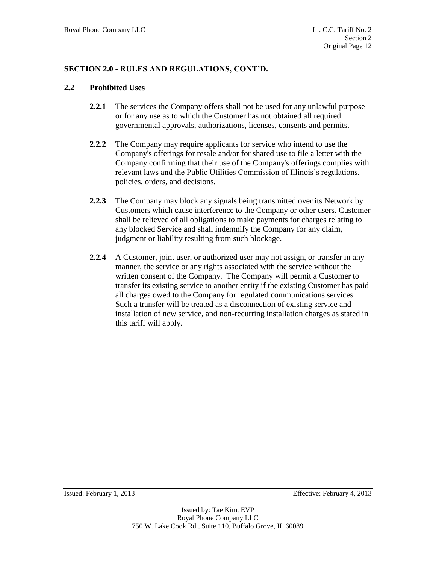#### **2.2 Prohibited Uses**

- **2.2.1** The services the Company offers shall not be used for any unlawful purpose or for any use as to which the Customer has not obtained all required governmental approvals, authorizations, licenses, consents and permits.
- **2.2.2** The Company may require applicants for service who intend to use the Company's offerings for resale and/or for shared use to file a letter with the Company confirming that their use of the Company's offerings complies with relevant laws and the Public Utilities Commission of Illinois's regulations, policies, orders, and decisions.
- **2.2.3** The Company may block any signals being transmitted over its Network by Customers which cause interference to the Company or other users. Customer shall be relieved of all obligations to make payments for charges relating to any blocked Service and shall indemnify the Company for any claim, judgment or liability resulting from such blockage.
- **2.2.4** A Customer, joint user, or authorized user may not assign, or transfer in any manner, the service or any rights associated with the service without the written consent of the Company. The Company will permit a Customer to transfer its existing service to another entity if the existing Customer has paid all charges owed to the Company for regulated communications services. Such a transfer will be treated as a disconnection of existing service and installation of new service, and non-recurring installation charges as stated in this tariff will apply.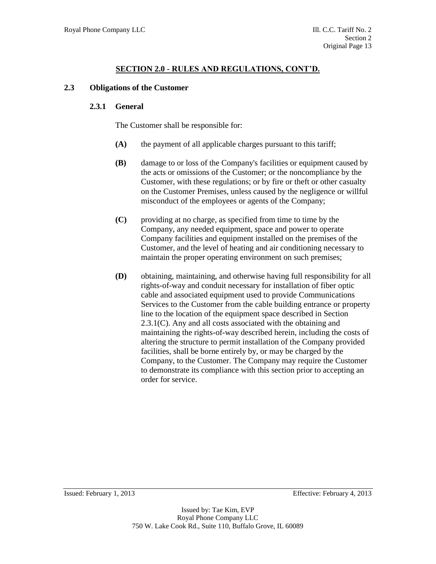#### **2.3 Obligations of the Customer**

#### **2.3.1 General**

The Customer shall be responsible for:

- **(A)** the payment of all applicable charges pursuant to this tariff;
- **(B)** damage to or loss of the Company's facilities or equipment caused by the acts or omissions of the Customer; or the noncompliance by the Customer, with these regulations; or by fire or theft or other casualty on the Customer Premises, unless caused by the negligence or willful misconduct of the employees or agents of the Company;
- **(C)** providing at no charge, as specified from time to time by the Company, any needed equipment, space and power to operate Company facilities and equipment installed on the premises of the Customer, and the level of heating and air conditioning necessary to maintain the proper operating environment on such premises;
- **(D)** obtaining, maintaining, and otherwise having full responsibility for all rights-of-way and conduit necessary for installation of fiber optic cable and associated equipment used to provide Communications Services to the Customer from the cable building entrance or property line to the location of the equipment space described in Section 2.3.1(C). Any and all costs associated with the obtaining and maintaining the rights-of-way described herein, including the costs of altering the structure to permit installation of the Company provided facilities, shall be borne entirely by, or may be charged by the Company, to the Customer. The Company may require the Customer to demonstrate its compliance with this section prior to accepting an order for service.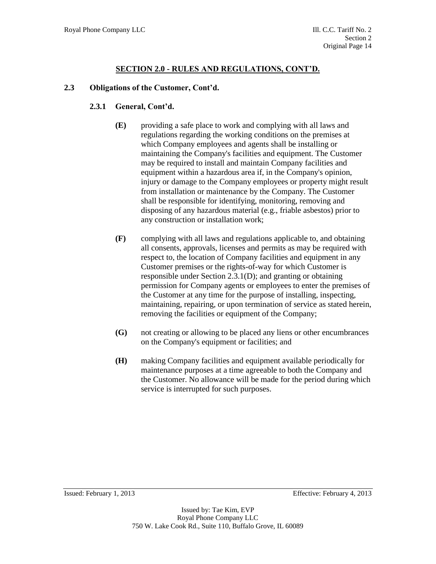### **2.3 Obligations of the Customer, Cont'd.**

# **2.3.1 General, Cont'd.**

- **(E)** providing a safe place to work and complying with all laws and regulations regarding the working conditions on the premises at which Company employees and agents shall be installing or maintaining the Company's facilities and equipment. The Customer may be required to install and maintain Company facilities and equipment within a hazardous area if, in the Company's opinion, injury or damage to the Company employees or property might result from installation or maintenance by the Company. The Customer shall be responsible for identifying, monitoring, removing and disposing of any hazardous material (e.g., friable asbestos) prior to any construction or installation work;
- **(F)** complying with all laws and regulations applicable to, and obtaining all consents, approvals, licenses and permits as may be required with respect to, the location of Company facilities and equipment in any Customer premises or the rights-of-way for which Customer is responsible under Section 2.3.1(D); and granting or obtaining permission for Company agents or employees to enter the premises of the Customer at any time for the purpose of installing, inspecting, maintaining, repairing, or upon termination of service as stated herein, removing the facilities or equipment of the Company;
- **(G)** not creating or allowing to be placed any liens or other encumbrances on the Company's equipment or facilities; and
- **(H)** making Company facilities and equipment available periodically for maintenance purposes at a time agreeable to both the Company and the Customer. No allowance will be made for the period during which service is interrupted for such purposes.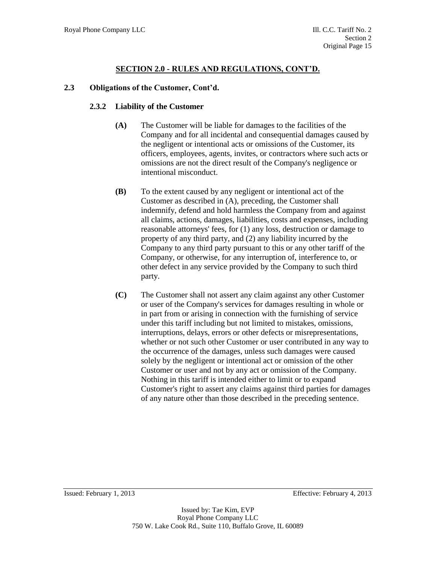### **2.3 Obligations of the Customer, Cont'd.**

### **2.3.2 Liability of the Customer**

- **(A)** The Customer will be liable for damages to the facilities of the Company and for all incidental and consequential damages caused by the negligent or intentional acts or omissions of the Customer, its officers, employees, agents, invites, or contractors where such acts or omissions are not the direct result of the Company's negligence or intentional misconduct.
- **(B)** To the extent caused by any negligent or intentional act of the Customer as described in (A), preceding, the Customer shall indemnify, defend and hold harmless the Company from and against all claims, actions, damages, liabilities, costs and expenses, including reasonable attorneys' fees, for (1) any loss, destruction or damage to property of any third party, and (2) any liability incurred by the Company to any third party pursuant to this or any other tariff of the Company, or otherwise, for any interruption of, interference to, or other defect in any service provided by the Company to such third party.
- **(C)** The Customer shall not assert any claim against any other Customer or user of the Company's services for damages resulting in whole or in part from or arising in connection with the furnishing of service under this tariff including but not limited to mistakes, omissions, interruptions, delays, errors or other defects or misrepresentations, whether or not such other Customer or user contributed in any way to the occurrence of the damages, unless such damages were caused solely by the negligent or intentional act or omission of the other Customer or user and not by any act or omission of the Company. Nothing in this tariff is intended either to limit or to expand Customer's right to assert any claims against third parties for damages of any nature other than those described in the preceding sentence.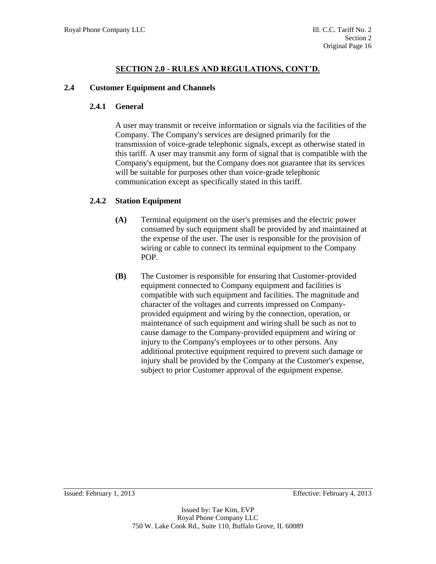#### **2.4 Customer Equipment and Channels**

#### **2.4.1 General**

A user may transmit or receive information or signals via the facilities of the Company. The Company's services are designed primarily for the transmission of voice-grade telephonic signals, except as otherwise stated in this tariff. A user may transmit any form of signal that is compatible with the Company's equipment, but the Company does not guarantee that its services will be suitable for purposes other than voice-grade telephonic communication except as specifically stated in this tariff.

### **2.4.2 Station Equipment**

- **(A)** Terminal equipment on the user's premises and the electric power consumed by such equipment shall be provided by and maintained at the expense of the user. The user is responsible for the provision of wiring or cable to connect its terminal equipment to the Company POP.
- **(B)** The Customer is responsible for ensuring that Customer-provided equipment connected to Company equipment and facilities is compatible with such equipment and facilities. The magnitude and character of the voltages and currents impressed on Companyprovided equipment and wiring by the connection, operation, or maintenance of such equipment and wiring shall be such as not to cause damage to the Company-provided equipment and wiring or injury to the Company's employees or to other persons. Any additional protective equipment required to prevent such damage or injury shall be provided by the Company at the Customer's expense, subject to prior Customer approval of the equipment expense.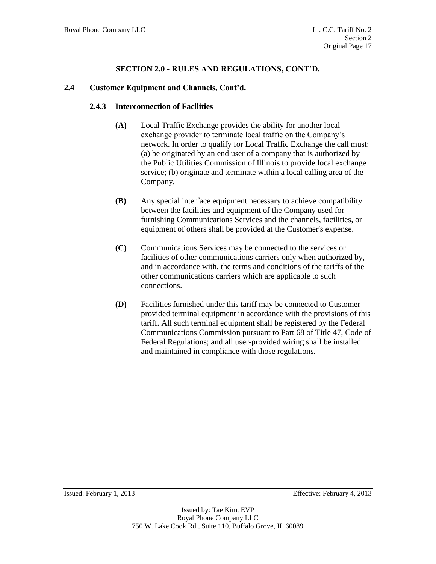### **2.4 Customer Equipment and Channels, Cont'd.**

#### **2.4.3 Interconnection of Facilities**

- **(A)** Local Traffic Exchange provides the ability for another local exchange provider to terminate local traffic on the Company's network. In order to qualify for Local Traffic Exchange the call must: (a) be originated by an end user of a company that is authorized by the Public Utilities Commission of Illinois to provide local exchange service; (b) originate and terminate within a local calling area of the Company.
- **(B)** Any special interface equipment necessary to achieve compatibility between the facilities and equipment of the Company used for furnishing Communications Services and the channels, facilities, or equipment of others shall be provided at the Customer's expense.
- **(C)** Communications Services may be connected to the services or facilities of other communications carriers only when authorized by, and in accordance with, the terms and conditions of the tariffs of the other communications carriers which are applicable to such connections.
- **(D)** Facilities furnished under this tariff may be connected to Customer provided terminal equipment in accordance with the provisions of this tariff. All such terminal equipment shall be registered by the Federal Communications Commission pursuant to Part 68 of Title 47, Code of Federal Regulations; and all user-provided wiring shall be installed and maintained in compliance with those regulations.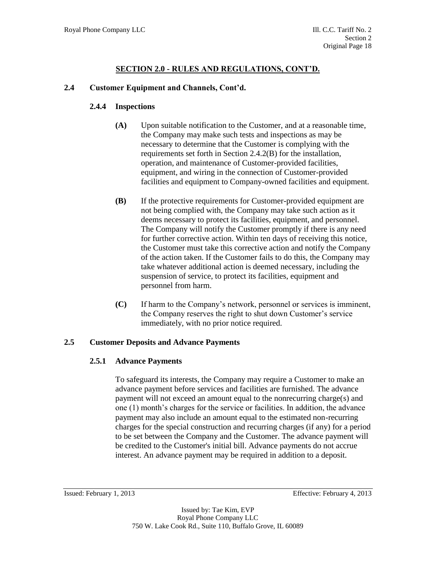# **2.4 Customer Equipment and Channels, Cont'd.**

# **2.4.4 Inspections**

- **(A)** Upon suitable notification to the Customer, and at a reasonable time, the Company may make such tests and inspections as may be necessary to determine that the Customer is complying with the requirements set forth in Section 2.4.2(B) for the installation, operation, and maintenance of Customer-provided facilities, equipment, and wiring in the connection of Customer-provided facilities and equipment to Company-owned facilities and equipment.
- **(B)** If the protective requirements for Customer-provided equipment are not being complied with, the Company may take such action as it deems necessary to protect its facilities, equipment, and personnel. The Company will notify the Customer promptly if there is any need for further corrective action. Within ten days of receiving this notice, the Customer must take this corrective action and notify the Company of the action taken. If the Customer fails to do this, the Company may take whatever additional action is deemed necessary, including the suspension of service, to protect its facilities, equipment and personnel from harm.
- **(C)** If harm to the Company's network, personnel or services is imminent, the Company reserves the right to shut down Customer's service immediately, with no prior notice required.

# **2.5 Customer Deposits and Advance Payments**

# **2.5.1 Advance Payments**

To safeguard its interests, the Company may require a Customer to make an advance payment before services and facilities are furnished. The advance payment will not exceed an amount equal to the nonrecurring charge(s) and one (1) month's charges for the service or facilities. In addition, the advance payment may also include an amount equal to the estimated non-recurring charges for the special construction and recurring charges (if any) for a period to be set between the Company and the Customer. The advance payment will be credited to the Customer's initial bill. Advance payments do not accrue interest. An advance payment may be required in addition to a deposit.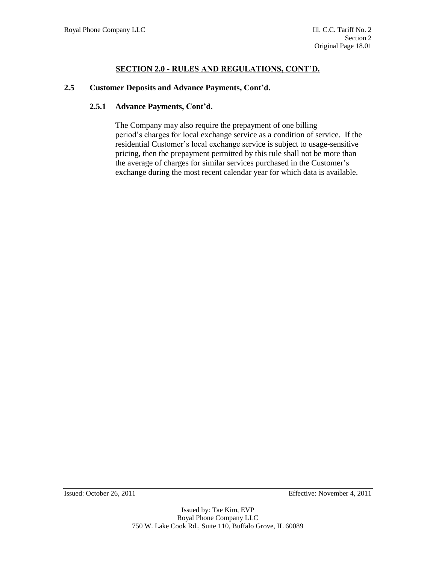#### **2.5 Customer Deposits and Advance Payments, Cont'd.**

#### **2.5.1 Advance Payments, Cont'd.**

The Company may also require the prepayment of one billing period's charges for local exchange service as a condition of service. If the residential Customer's local exchange service is subject to usage-sensitive pricing, then the prepayment permitted by this rule shall not be more than the average of charges for similar services purchased in the Customer's exchange during the most recent calendar year for which data is available.

Issued: October 26, 2011 Effective: November 4, 2011

Issued by: Tae Kim, EVP Royal Phone Company LLC 750 W. Lake Cook Rd., Suite 110, Buffalo Grove, IL 60089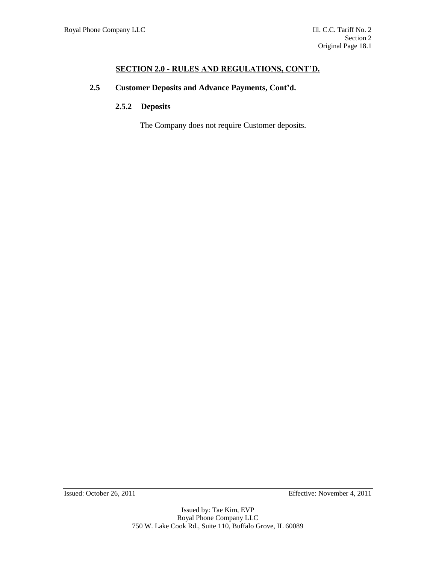# **2.5 Customer Deposits and Advance Payments, Cont'd.**

# **2.5.2 Deposits**

The Company does not require Customer deposits.

Issued: October 26, 2011 Effective: November 4, 2011

Issued by: Tae Kim, EVP Royal Phone Company LLC 750 W. Lake Cook Rd., Suite 110, Buffalo Grove, IL 60089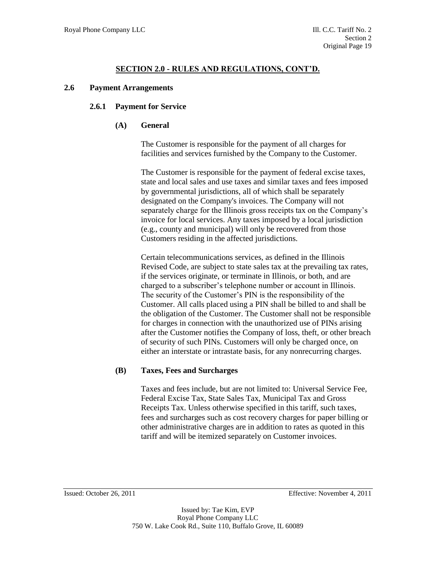### **2.6 Payment Arrangements**

### **2.6.1 Payment for Service**

### **(A) General**

The Customer is responsible for the payment of all charges for facilities and services furnished by the Company to the Customer.

The Customer is responsible for the payment of federal excise taxes, state and local sales and use taxes and similar taxes and fees imposed by governmental jurisdictions, all of which shall be separately designated on the Company's invoices. The Company will not separately charge for the Illinois gross receipts tax on the Company's invoice for local services. Any taxes imposed by a local jurisdiction (e.g., county and municipal) will only be recovered from those Customers residing in the affected jurisdictions.

Certain telecommunications services, as defined in the Illinois Revised Code, are subject to state sales tax at the prevailing tax rates, if the services originate, or terminate in Illinois, or both, and are charged to a subscriber's telephone number or account in Illinois. The security of the Customer's PIN is the responsibility of the Customer. All calls placed using a PIN shall be billed to and shall be the obligation of the Customer. The Customer shall not be responsible for charges in connection with the unauthorized use of PINs arising after the Customer notifies the Company of loss, theft, or other breach of security of such PINs. Customers will only be charged once, on either an interstate or intrastate basis, for any nonrecurring charges.

# **(B) Taxes, Fees and Surcharges**

Taxes and fees include, but are not limited to: Universal Service Fee, Federal Excise Tax, State Sales Tax, Municipal Tax and Gross Receipts Tax. Unless otherwise specified in this tariff, such taxes, fees and surcharges such as cost recovery charges for paper billing or other administrative charges are in addition to rates as quoted in this tariff and will be itemized separately on Customer invoices.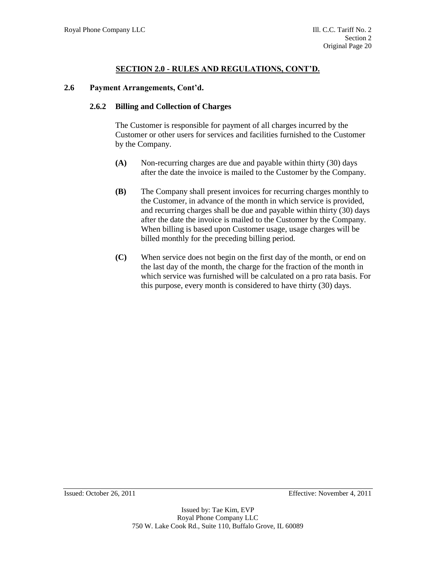#### **2.6 Payment Arrangements, Cont'd.**

#### **2.6.2 Billing and Collection of Charges**

The Customer is responsible for payment of all charges incurred by the Customer or other users for services and facilities furnished to the Customer by the Company.

- **(A)** Non-recurring charges are due and payable within thirty (30) days after the date the invoice is mailed to the Customer by the Company.
- **(B)** The Company shall present invoices for recurring charges monthly to the Customer, in advance of the month in which service is provided, and recurring charges shall be due and payable within thirty (30) days after the date the invoice is mailed to the Customer by the Company. When billing is based upon Customer usage, usage charges will be billed monthly for the preceding billing period.
- **(C)** When service does not begin on the first day of the month, or end on the last day of the month, the charge for the fraction of the month in which service was furnished will be calculated on a pro rata basis. For this purpose, every month is considered to have thirty (30) days.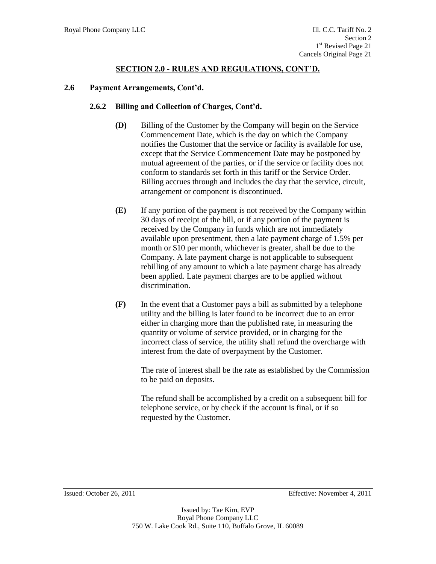#### **2.6 Payment Arrangements, Cont'd.**

#### **2.6.2 Billing and Collection of Charges, Cont'd.**

- **(D)** Billing of the Customer by the Company will begin on the Service Commencement Date, which is the day on which the Company notifies the Customer that the service or facility is available for use, except that the Service Commencement Date may be postponed by mutual agreement of the parties, or if the service or facility does not conform to standards set forth in this tariff or the Service Order. Billing accrues through and includes the day that the service, circuit, arrangement or component is discontinued.
- **(E)** If any portion of the payment is not received by the Company within 30 days of receipt of the bill, or if any portion of the payment is received by the Company in funds which are not immediately available upon presentment, then a late payment charge of 1.5% per month or \$10 per month, whichever is greater, shall be due to the Company. A late payment charge is not applicable to subsequent rebilling of any amount to which a late payment charge has already been applied. Late payment charges are to be applied without discrimination.
- **(F)** In the event that a Customer pays a bill as submitted by a telephone utility and the billing is later found to be incorrect due to an error either in charging more than the published rate, in measuring the quantity or volume of service provided, or in charging for the incorrect class of service, the utility shall refund the overcharge with interest from the date of overpayment by the Customer.

The rate of interest shall be the rate as established by the Commission to be paid on deposits.

The refund shall be accomplished by a credit on a subsequent bill for telephone service, or by check if the account is final, or if so requested by the Customer.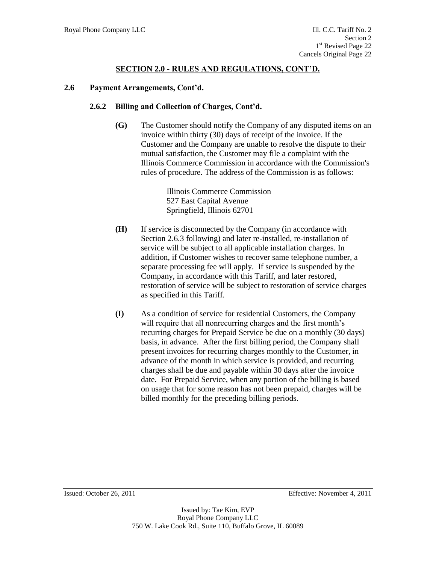#### **2.6 Payment Arrangements, Cont'd.**

#### **2.6.2 Billing and Collection of Charges, Cont'd.**

**(G)** The Customer should notify the Company of any disputed items on an invoice within thirty (30) days of receipt of the invoice. If the Customer and the Company are unable to resolve the dispute to their mutual satisfaction, the Customer may file a complaint with the Illinois Commerce Commission in accordance with the Commission's rules of procedure. The address of the Commission is as follows:

> Illinois Commerce Commission 527 East Capital Avenue Springfield, Illinois 62701

- **(H)** If service is disconnected by the Company (in accordance with Section 2.6.3 following) and later re-installed, re-installation of service will be subject to all applicable installation charges. In addition, if Customer wishes to recover same telephone number, a separate processing fee will apply. If service is suspended by the Company, in accordance with this Tariff, and later restored, restoration of service will be subject to restoration of service charges as specified in this Tariff.
- **(I)** As a condition of service for residential Customers, the Company will require that all nonrecurring charges and the first month's recurring charges for Prepaid Service be due on a monthly (30 days) basis, in advance. After the first billing period, the Company shall present invoices for recurring charges monthly to the Customer, in advance of the month in which service is provided, and recurring charges shall be due and payable within 30 days after the invoice date. For Prepaid Service, when any portion of the billing is based on usage that for some reason has not been prepaid, charges will be billed monthly for the preceding billing periods.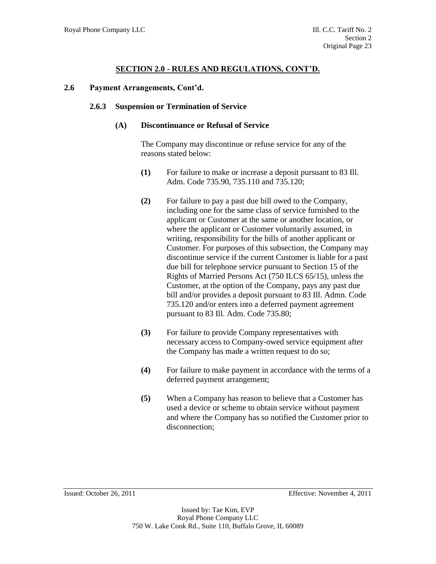#### **2.6 Payment Arrangements, Cont'd.**

#### **2.6.3 Suspension or Termination of Service**

#### **(A) Discontinuance or Refusal of Service**

The Company may discontinue or refuse service for any of the reasons stated below:

- **(1)** For failure to make or increase a deposit pursuant to 83 Ill. Adm. Code 735.90, 735.110 and 735.120;
- **(2)** For failure to pay a past due bill owed to the Company, including one for the same class of service furnished to the applicant or Customer at the same or another location, or where the applicant or Customer voluntarily assumed, in writing, responsibility for the bills of another applicant or Customer. For purposes of this subsection, the Company may discontinue service if the current Customer is liable for a past due bill for telephone service pursuant to Section 15 of the Rights of Married Persons Act (750 ILCS 65/15), unless the Customer, at the option of the Company, pays any past due bill and/or provides a deposit pursuant to 83 Ill. Admn. Code 735.120 and/or enters into a deferred payment agreement pursuant to 83 Ill. Adm. Code 735.80;
- **(3)** For failure to provide Company representatives with necessary access to Company-owed service equipment after the Company has made a written request to do so;
- **(4)** For failure to make payment in accordance with the terms of a deferred payment arrangement;
- **(5)** When a Company has reason to believe that a Customer has used a device or scheme to obtain service without payment and where the Company has so notified the Customer prior to disconnection;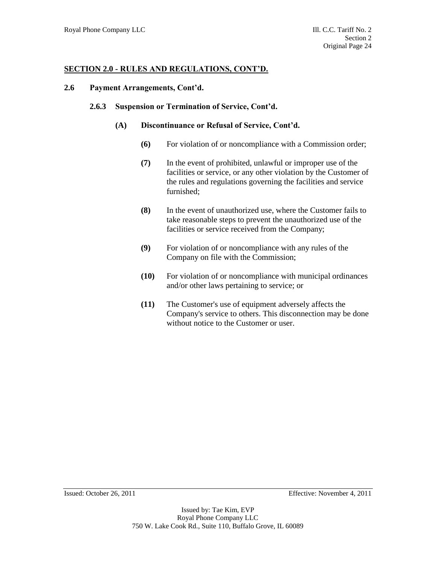### **2.6 Payment Arrangements, Cont'd.**

#### **2.6.3 Suspension or Termination of Service, Cont'd.**

### **(A) Discontinuance or Refusal of Service, Cont'd.**

- **(6)** For violation of or noncompliance with a Commission order;
- **(7)** In the event of prohibited, unlawful or improper use of the facilities or service, or any other violation by the Customer of the rules and regulations governing the facilities and service furnished;
- **(8)** In the event of unauthorized use, where the Customer fails to take reasonable steps to prevent the unauthorized use of the facilities or service received from the Company;
- **(9)** For violation of or noncompliance with any rules of the Company on file with the Commission;
- **(10)** For violation of or noncompliance with municipal ordinances and/or other laws pertaining to service; or
- **(11)** The Customer's use of equipment adversely affects the Company's service to others. This disconnection may be done without notice to the Customer or user.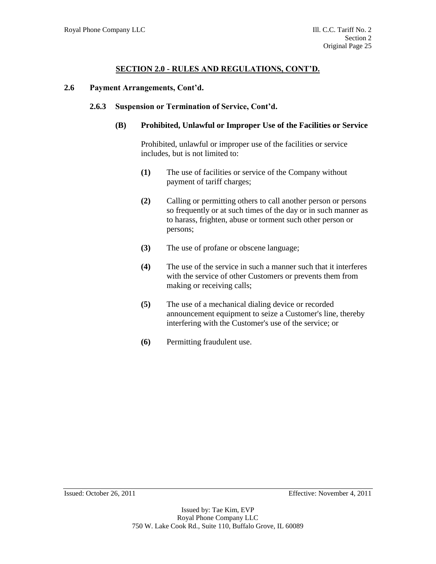### **2.6 Payment Arrangements, Cont'd.**

### **2.6.3 Suspension or Termination of Service, Cont'd.**

### **(B) Prohibited, Unlawful or Improper Use of the Facilities or Service**

Prohibited, unlawful or improper use of the facilities or service includes, but is not limited to:

- **(1)** The use of facilities or service of the Company without payment of tariff charges;
- **(2)** Calling or permitting others to call another person or persons so frequently or at such times of the day or in such manner as to harass, frighten, abuse or torment such other person or persons;
- **(3)** The use of profane or obscene language;
- **(4)** The use of the service in such a manner such that it interferes with the service of other Customers or prevents them from making or receiving calls;
- **(5)** The use of a mechanical dialing device or recorded announcement equipment to seize a Customer's line, thereby interfering with the Customer's use of the service; or
- **(6)** Permitting fraudulent use.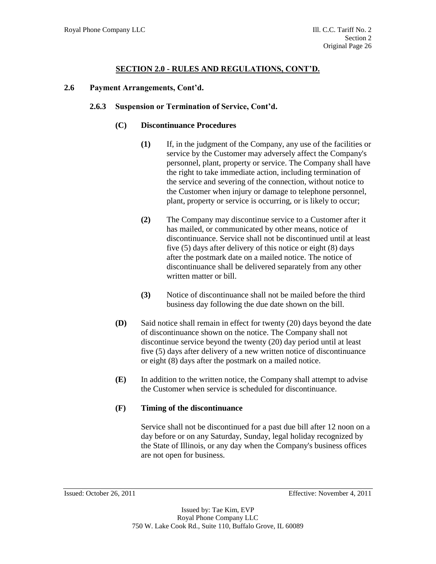### **2.6 Payment Arrangements, Cont'd.**

#### **2.6.3 Suspension or Termination of Service, Cont'd.**

### **(C) Discontinuance Procedures**

- **(1)** If, in the judgment of the Company, any use of the facilities or service by the Customer may adversely affect the Company's personnel, plant, property or service. The Company shall have the right to take immediate action, including termination of the service and severing of the connection, without notice to the Customer when injury or damage to telephone personnel, plant, property or service is occurring, or is likely to occur;
- **(2)** The Company may discontinue service to a Customer after it has mailed, or communicated by other means, notice of discontinuance. Service shall not be discontinued until at least five (5) days after delivery of this notice or eight (8) days after the postmark date on a mailed notice. The notice of discontinuance shall be delivered separately from any other written matter or bill.
- **(3)** Notice of discontinuance shall not be mailed before the third business day following the due date shown on the bill.
- **(D)** Said notice shall remain in effect for twenty (20) days beyond the date of discontinuance shown on the notice. The Company shall not discontinue service beyond the twenty (20) day period until at least five (5) days after delivery of a new written notice of discontinuance or eight (8) days after the postmark on a mailed notice.
- **(E)** In addition to the written notice, the Company shall attempt to advise the Customer when service is scheduled for discontinuance.

### **(F) Timing of the discontinuance**

Service shall not be discontinued for a past due bill after 12 noon on a day before or on any Saturday, Sunday, legal holiday recognized by the State of Illinois, or any day when the Company's business offices are not open for business.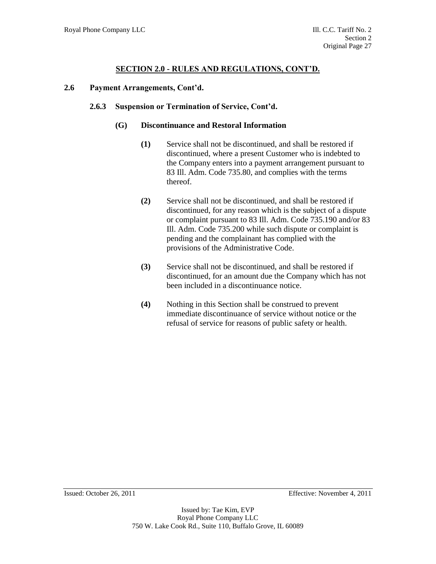### **2.6 Payment Arrangements, Cont'd.**

#### **2.6.3 Suspension or Termination of Service, Cont'd.**

### **(G) Discontinuance and Restoral Information**

- **(1)** Service shall not be discontinued, and shall be restored if discontinued, where a present Customer who is indebted to the Company enters into a payment arrangement pursuant to 83 Ill. Adm. Code 735.80, and complies with the terms thereof.
- **(2)** Service shall not be discontinued, and shall be restored if discontinued, for any reason which is the subject of a dispute or complaint pursuant to 83 Ill. Adm. Code 735.190 and/or 83 Ill. Adm. Code 735.200 while such dispute or complaint is pending and the complainant has complied with the provisions of the Administrative Code.
- **(3)** Service shall not be discontinued, and shall be restored if discontinued, for an amount due the Company which has not been included in a discontinuance notice.
- **(4)** Nothing in this Section shall be construed to prevent immediate discontinuance of service without notice or the refusal of service for reasons of public safety or health.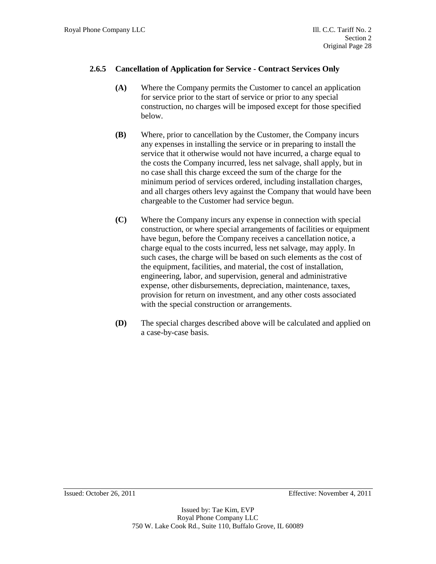# **2.6.5 Cancellation of Application for Service - Contract Services Only**

- **(A)** Where the Company permits the Customer to cancel an application for service prior to the start of service or prior to any special construction, no charges will be imposed except for those specified below.
- **(B)** Where, prior to cancellation by the Customer, the Company incurs any expenses in installing the service or in preparing to install the service that it otherwise would not have incurred, a charge equal to the costs the Company incurred, less net salvage, shall apply, but in no case shall this charge exceed the sum of the charge for the minimum period of services ordered, including installation charges, and all charges others levy against the Company that would have been chargeable to the Customer had service begun.
- **(C)** Where the Company incurs any expense in connection with special construction, or where special arrangements of facilities or equipment have begun, before the Company receives a cancellation notice, a charge equal to the costs incurred, less net salvage, may apply. In such cases, the charge will be based on such elements as the cost of the equipment, facilities, and material, the cost of installation, engineering, labor, and supervision, general and administrative expense, other disbursements, depreciation, maintenance, taxes, provision for return on investment, and any other costs associated with the special construction or arrangements.
- **(D)** The special charges described above will be calculated and applied on a case-by-case basis.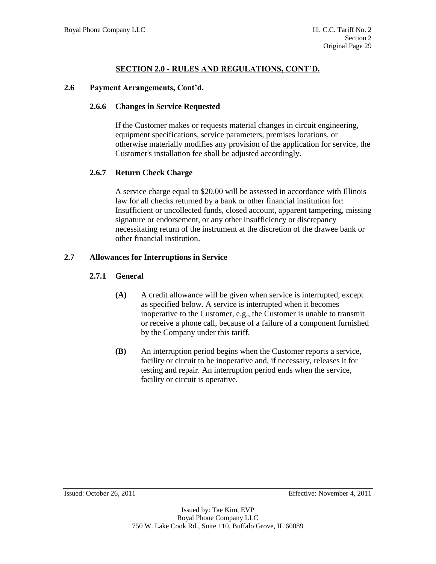### **2.6 Payment Arrangements, Cont'd.**

### **2.6.6 Changes in Service Requested**

If the Customer makes or requests material changes in circuit engineering, equipment specifications, service parameters, premises locations, or otherwise materially modifies any provision of the application for service, the Customer's installation fee shall be adjusted accordingly.

### **2.6.7 Return Check Charge**

A service charge equal to \$20.00 will be assessed in accordance with Illinois law for all checks returned by a bank or other financial institution for: Insufficient or uncollected funds, closed account, apparent tampering, missing signature or endorsement, or any other insufficiency or discrepancy necessitating return of the instrument at the discretion of the drawee bank or other financial institution.

### **2.7 Allowances for Interruptions in Service**

## **2.7.1 General**

- **(A)** A credit allowance will be given when service is interrupted, except as specified below. A service is interrupted when it becomes inoperative to the Customer, e.g., the Customer is unable to transmit or receive a phone call, because of a failure of a component furnished by the Company under this tariff.
- **(B)** An interruption period begins when the Customer reports a service, facility or circuit to be inoperative and, if necessary, releases it for testing and repair. An interruption period ends when the service, facility or circuit is operative.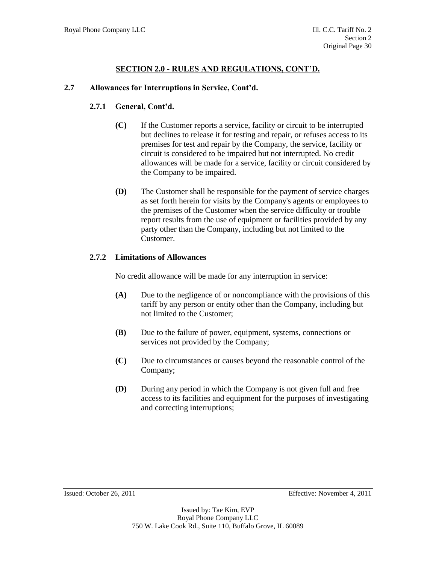## **2.7 Allowances for Interruptions in Service, Cont'd.**

# **2.7.1 General, Cont'd.**

- **(C)** If the Customer reports a service, facility or circuit to be interrupted but declines to release it for testing and repair, or refuses access to its premises for test and repair by the Company, the service, facility or circuit is considered to be impaired but not interrupted. No credit allowances will be made for a service, facility or circuit considered by the Company to be impaired.
- **(D)** The Customer shall be responsible for the payment of service charges as set forth herein for visits by the Company's agents or employees to the premises of the Customer when the service difficulty or trouble report results from the use of equipment or facilities provided by any party other than the Company, including but not limited to the Customer.

## **2.7.2 Limitations of Allowances**

No credit allowance will be made for any interruption in service:

- **(A)** Due to the negligence of or noncompliance with the provisions of this tariff by any person or entity other than the Company, including but not limited to the Customer;
- **(B)** Due to the failure of power, equipment, systems, connections or services not provided by the Company;
- **(C)** Due to circumstances or causes beyond the reasonable control of the Company;
- **(D)** During any period in which the Company is not given full and free access to its facilities and equipment for the purposes of investigating and correcting interruptions;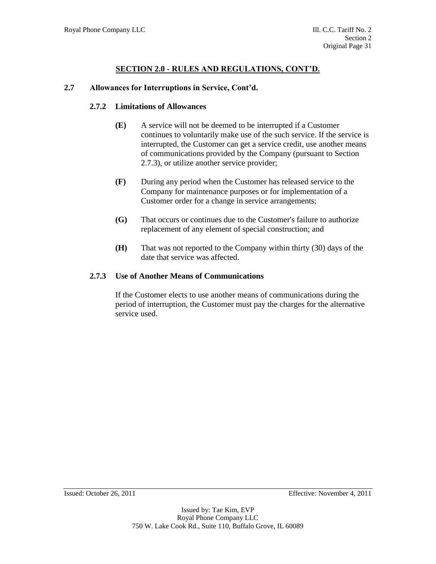### **2.7 Allowances for Interruptions in Service, Cont'd.**

### **2.7.2 Limitations of Allowances**

- **(E)** A service will not be deemed to be interrupted if a Customer continues to voluntarily make use of the such service. If the service is interrupted, the Customer can get a service credit, use another means of communications provided by the Company (pursuant to Section 2.7.3), or utilize another service provider;
- **(F)** During any period when the Customer has released service to the Company for maintenance purposes or for implementation of a Customer order for a change in service arrangements;
- **(G)** That occurs or continues due to the Customer's failure to authorize replacement of any element of special construction; and
- **(H)** That was not reported to the Company within thirty (30) days of the date that service was affected.

### **2.7.3 Use of Another Means of Communications**

If the Customer elects to use another means of communications during the period of interruption, the Customer must pay the charges for the alternative service used.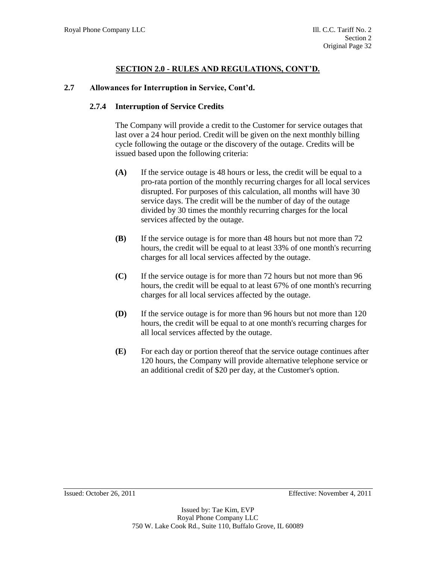### **2.7 Allowances for Interruption in Service, Cont'd.**

### **2.7.4 Interruption of Service Credits**

The Company will provide a credit to the Customer for service outages that last over a 24 hour period. Credit will be given on the next monthly billing cycle following the outage or the discovery of the outage. Credits will be issued based upon the following criteria:

- **(A)** If the service outage is 48 hours or less, the credit will be equal to a pro-rata portion of the monthly recurring charges for all local services disrupted. For purposes of this calculation, all months will have 30 service days. The credit will be the number of day of the outage divided by 30 times the monthly recurring charges for the local services affected by the outage.
- **(B)** If the service outage is for more than 48 hours but not more than 72 hours, the credit will be equal to at least 33% of one month's recurring charges for all local services affected by the outage.
- **(C)** If the service outage is for more than 72 hours but not more than 96 hours, the credit will be equal to at least 67% of one month's recurring charges for all local services affected by the outage.
- **(D)** If the service outage is for more than 96 hours but not more than 120 hours, the credit will be equal to at one month's recurring charges for all local services affected by the outage.
- **(E)** For each day or portion thereof that the service outage continues after 120 hours, the Company will provide alternative telephone service or an additional credit of \$20 per day, at the Customer's option.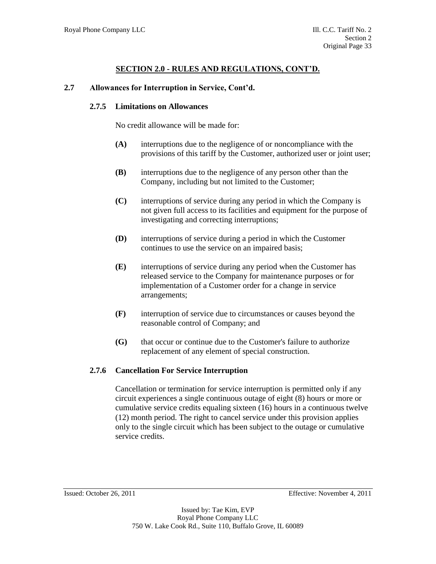### **2.7 Allowances for Interruption in Service, Cont'd.**

#### **2.7.5 Limitations on Allowances**

No credit allowance will be made for:

- **(A)** interruptions due to the negligence of or noncompliance with the provisions of this tariff by the Customer, authorized user or joint user;
- **(B)** interruptions due to the negligence of any person other than the Company, including but not limited to the Customer;
- **(C)** interruptions of service during any period in which the Company is not given full access to its facilities and equipment for the purpose of investigating and correcting interruptions;
- **(D)** interruptions of service during a period in which the Customer continues to use the service on an impaired basis;
- **(E)** interruptions of service during any period when the Customer has released service to the Company for maintenance purposes or for implementation of a Customer order for a change in service arrangements;
- **(F)** interruption of service due to circumstances or causes beyond the reasonable control of Company; and
- **(G)** that occur or continue due to the Customer's failure to authorize replacement of any element of special construction.

### **2.7.6 Cancellation For Service Interruption**

Cancellation or termination for service interruption is permitted only if any circuit experiences a single continuous outage of eight (8) hours or more or cumulative service credits equaling sixteen (16) hours in a continuous twelve (12) month period. The right to cancel service under this provision applies only to the single circuit which has been subject to the outage or cumulative service credits.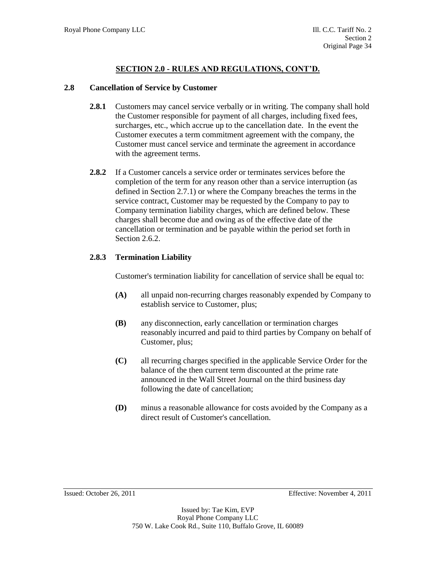### **2.8 Cancellation of Service by Customer**

- **2.8.1** Customers may cancel service verbally or in writing. The company shall hold the Customer responsible for payment of all charges, including fixed fees, surcharges, etc., which accrue up to the cancellation date. In the event the Customer executes a term commitment agreement with the company, the Customer must cancel service and terminate the agreement in accordance with the agreement terms.
- **2.8.2** If a Customer cancels a service order or terminates services before the completion of the term for any reason other than a service interruption (as defined in Section 2.7.1) or where the Company breaches the terms in the service contract, Customer may be requested by the Company to pay to Company termination liability charges, which are defined below. These charges shall become due and owing as of the effective date of the cancellation or termination and be payable within the period set forth in Section 2.6.2.

## **2.8.3 Termination Liability**

Customer's termination liability for cancellation of service shall be equal to:

- **(A)** all unpaid non-recurring charges reasonably expended by Company to establish service to Customer, plus;
- **(B)** any disconnection, early cancellation or termination charges reasonably incurred and paid to third parties by Company on behalf of Customer, plus;
- **(C)** all recurring charges specified in the applicable Service Order for the balance of the then current term discounted at the prime rate announced in the Wall Street Journal on the third business day following the date of cancellation;
- **(D)** minus a reasonable allowance for costs avoided by the Company as a direct result of Customer's cancellation.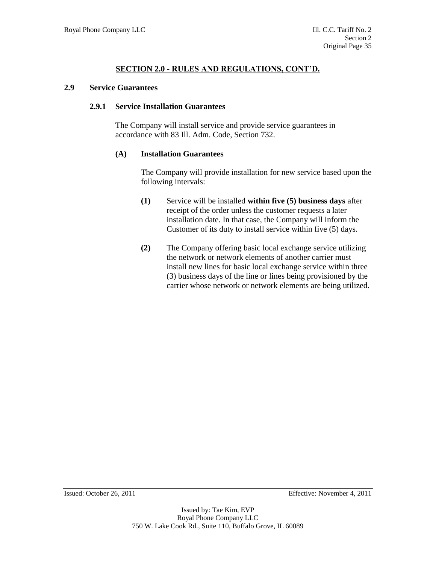#### **2.9 Service Guarantees**

### **2.9.1 Service Installation Guarantees**

The Company will install service and provide service guarantees in accordance with 83 Ill. Adm. Code, Section 732.

### **(A) Installation Guarantees**

The Company will provide installation for new service based upon the following intervals:

- **(1)** Service will be installed **within five (5) business days** after receipt of the order unless the customer requests a later installation date. In that case, the Company will inform the Customer of its duty to install service within five (5) days.
- **(2)** The Company offering basic local exchange service utilizing the network or network elements of another carrier must install new lines for basic local exchange service within three (3) business days of the line or lines being provisioned by the carrier whose network or network elements are being utilized.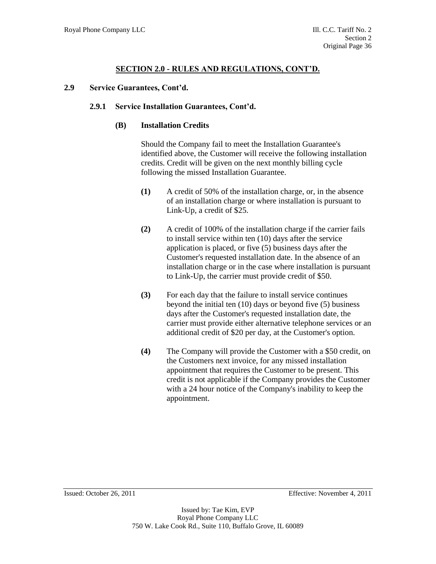### **2.9 Service Guarantees, Cont'd.**

#### **2.9.1 Service Installation Guarantees, Cont'd.**

### **(B) Installation Credits**

Should the Company fail to meet the Installation Guarantee's identified above, the Customer will receive the following installation credits. Credit will be given on the next monthly billing cycle following the missed Installation Guarantee.

- **(1)** A credit of 50% of the installation charge, or, in the absence of an installation charge or where installation is pursuant to Link-Up, a credit of \$25.
- **(2)** A credit of 100% of the installation charge if the carrier fails to install service within ten (10) days after the service application is placed, or five (5) business days after the Customer's requested installation date. In the absence of an installation charge or in the case where installation is pursuant to Link-Up, the carrier must provide credit of \$50.
- **(3)** For each day that the failure to install service continues beyond the initial ten (10) days or beyond five (5) business days after the Customer's requested installation date, the carrier must provide either alternative telephone services or an additional credit of \$20 per day, at the Customer's option.
- **(4)** The Company will provide the Customer with a \$50 credit, on the Customers next invoice, for any missed installation appointment that requires the Customer to be present. This credit is not applicable if the Company provides the Customer with a 24 hour notice of the Company's inability to keep the appointment.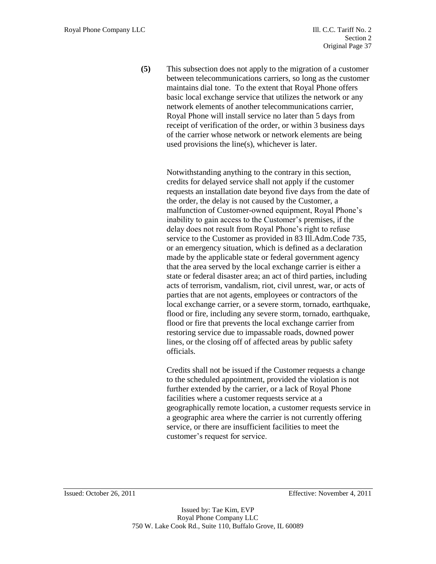**(5)** This subsection does not apply to the migration of a customer between telecommunications carriers, so long as the customer maintains dial tone. To the extent that Royal Phone offers basic local exchange service that utilizes the network or any network elements of another telecommunications carrier, Royal Phone will install service no later than 5 days from receipt of verification of the order, or within 3 business days of the carrier whose network or network elements are being used provisions the line(s), whichever is later.

> Notwithstanding anything to the contrary in this section, credits for delayed service shall not apply if the customer requests an installation date beyond five days from the date of the order, the delay is not caused by the Customer, a malfunction of Customer-owned equipment, Royal Phone's inability to gain access to the Customer's premises, if the delay does not result from Royal Phone's right to refuse service to the Customer as provided in 83 Ill.Adm.Code 735, or an emergency situation, which is defined as a declaration made by the applicable state or federal government agency that the area served by the local exchange carrier is either a state or federal disaster area; an act of third parties, including acts of terrorism, vandalism, riot, civil unrest, war, or acts of parties that are not agents, employees or contractors of the local exchange carrier, or a severe storm, tornado, earthquake, flood or fire, including any severe storm, tornado, earthquake, flood or fire that prevents the local exchange carrier from restoring service due to impassable roads, downed power lines, or the closing off of affected areas by public safety officials.

> Credits shall not be issued if the Customer requests a change to the scheduled appointment, provided the violation is not further extended by the carrier, or a lack of Royal Phone facilities where a customer requests service at a geographically remote location, a customer requests service in a geographic area where the carrier is not currently offering service, or there are insufficient facilities to meet the customer's request for service.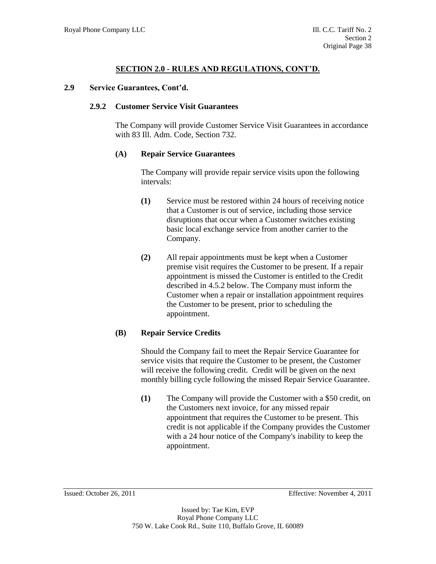### **2.9 Service Guarantees, Cont'd.**

#### **2.9.2 Customer Service Visit Guarantees**

The Company will provide Customer Service Visit Guarantees in accordance with 83 Ill. Adm. Code, Section 732.

### **(A) Repair Service Guarantees**

The Company will provide repair service visits upon the following intervals:

- **(1)** Service must be restored within 24 hours of receiving notice that a Customer is out of service, including those service disruptions that occur when a Customer switches existing basic local exchange service from another carrier to the Company.
- **(2)** All repair appointments must be kept when a Customer premise visit requires the Customer to be present. If a repair appointment is missed the Customer is entitled to the Credit described in 4.5.2 below. The Company must inform the Customer when a repair or installation appointment requires the Customer to be present, prior to scheduling the appointment.

# **(B) Repair Service Credits**

Should the Company fail to meet the Repair Service Guarantee for service visits that require the Customer to be present, the Customer will receive the following credit. Credit will be given on the next monthly billing cycle following the missed Repair Service Guarantee.

**(1)** The Company will provide the Customer with a \$50 credit, on the Customers next invoice, for any missed repair appointment that requires the Customer to be present. This credit is not applicable if the Company provides the Customer with a 24 hour notice of the Company's inability to keep the appointment.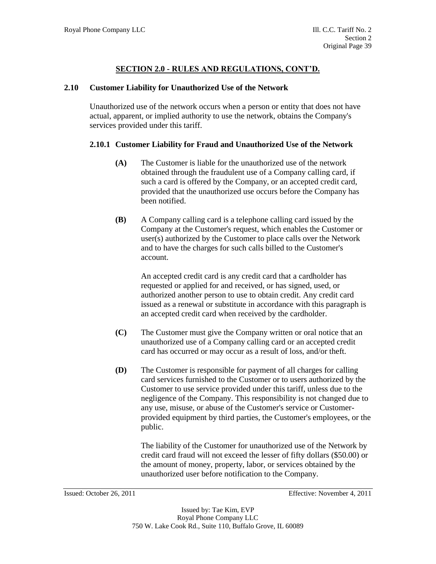### **2.10 Customer Liability for Unauthorized Use of the Network**

Unauthorized use of the network occurs when a person or entity that does not have actual, apparent, or implied authority to use the network, obtains the Company's services provided under this tariff.

### **2.10.1 Customer Liability for Fraud and Unauthorized Use of the Network**

- **(A)** The Customer is liable for the unauthorized use of the network obtained through the fraudulent use of a Company calling card, if such a card is offered by the Company, or an accepted credit card, provided that the unauthorized use occurs before the Company has been notified.
- **(B)** A Company calling card is a telephone calling card issued by the Company at the Customer's request, which enables the Customer or user(s) authorized by the Customer to place calls over the Network and to have the charges for such calls billed to the Customer's account.

An accepted credit card is any credit card that a cardholder has requested or applied for and received, or has signed, used, or authorized another person to use to obtain credit. Any credit card issued as a renewal or substitute in accordance with this paragraph is an accepted credit card when received by the cardholder.

- **(C)** The Customer must give the Company written or oral notice that an unauthorized use of a Company calling card or an accepted credit card has occurred or may occur as a result of loss, and/or theft.
- **(D)** The Customer is responsible for payment of all charges for calling card services furnished to the Customer or to users authorized by the Customer to use service provided under this tariff, unless due to the negligence of the Company. This responsibility is not changed due to any use, misuse, or abuse of the Customer's service or Customerprovided equipment by third parties, the Customer's employees, or the public.

The liability of the Customer for unauthorized use of the Network by credit card fraud will not exceed the lesser of fifty dollars (\$50.00) or the amount of money, property, labor, or services obtained by the unauthorized user before notification to the Company.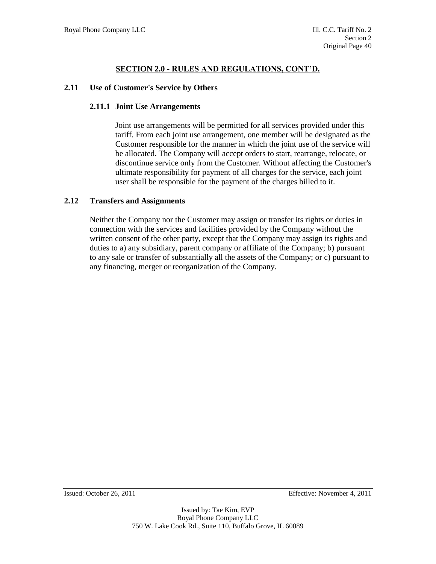### **2.11 Use of Customer's Service by Others**

#### **2.11.1 Joint Use Arrangements**

Joint use arrangements will be permitted for all services provided under this tariff. From each joint use arrangement, one member will be designated as the Customer responsible for the manner in which the joint use of the service will be allocated. The Company will accept orders to start, rearrange, relocate, or discontinue service only from the Customer. Without affecting the Customer's ultimate responsibility for payment of all charges for the service, each joint user shall be responsible for the payment of the charges billed to it.

### **2.12 Transfers and Assignments**

Neither the Company nor the Customer may assign or transfer its rights or duties in connection with the services and facilities provided by the Company without the written consent of the other party, except that the Company may assign its rights and duties to a) any subsidiary, parent company or affiliate of the Company; b) pursuant to any sale or transfer of substantially all the assets of the Company; or c) pursuant to any financing, merger or reorganization of the Company.

Issued: October 26, 2011 Effective: November 4, 2011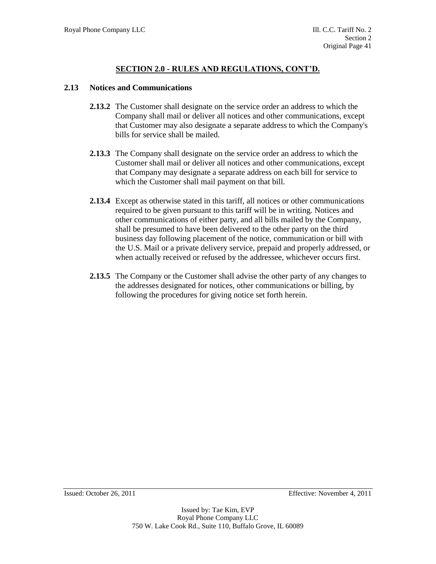### **2.13 Notices and Communications**

- **2.13.2** The Customer shall designate on the service order an address to which the Company shall mail or deliver all notices and other communications, except that Customer may also designate a separate address to which the Company's bills for service shall be mailed.
- **2.13.3** The Company shall designate on the service order an address to which the Customer shall mail or deliver all notices and other communications, except that Company may designate a separate address on each bill for service to which the Customer shall mail payment on that bill.
- **2.13.4** Except as otherwise stated in this tariff, all notices or other communications required to be given pursuant to this tariff will be in writing. Notices and other communications of either party, and all bills mailed by the Company, shall be presumed to have been delivered to the other party on the third business day following placement of the notice, communication or bill with the U.S. Mail or a private delivery service, prepaid and properly addressed, or when actually received or refused by the addressee, whichever occurs first.
- **2.13.5** The Company or the Customer shall advise the other party of any changes to the addresses designated for notices, other communications or billing, by following the procedures for giving notice set forth herein.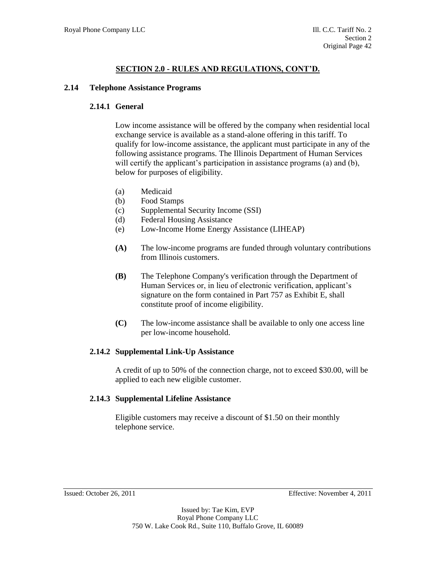## **2.14 Telephone Assistance Programs**

## **2.14.1 General**

Low income assistance will be offered by the company when residential local exchange service is available as a stand-alone offering in this tariff. To qualify for low-income assistance, the applicant must participate in any of the following assistance programs. The Illinois Department of Human Services will certify the applicant's participation in assistance programs (a) and (b), below for purposes of eligibility.

- (a) Medicaid
- (b) Food Stamps
- (c) Supplemental Security Income (SSI)
- (d) Federal Housing Assistance
- (e) Low-Income Home Energy Assistance (LIHEAP)
- **(A)** The low-income programs are funded through voluntary contributions from Illinois customers.
- **(B)** The Telephone Company's verification through the Department of Human Services or, in lieu of electronic verification, applicant's signature on the form contained in Part 757 as Exhibit E, shall constitute proof of income eligibility.
- **(C)** The low-income assistance shall be available to only one access line per low-income household.

# **2.14.2 Supplemental Link-Up Assistance**

A credit of up to 50% of the connection charge, not to exceed \$30.00, will be applied to each new eligible customer.

### **2.14.3 Supplemental Lifeline Assistance**

Eligible customers may receive a discount of \$1.50 on their monthly telephone service.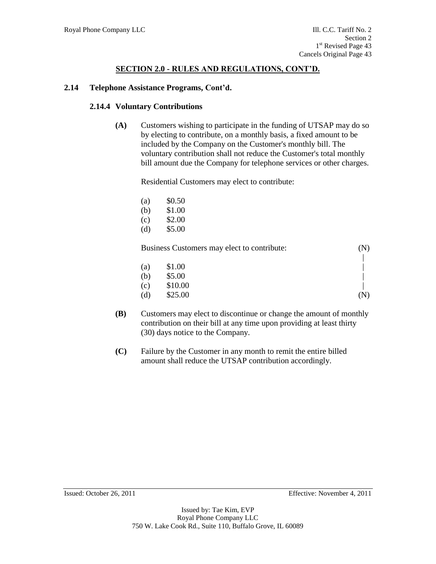### **2.14 Telephone Assistance Programs, Cont'd.**

#### **2.14.4 Voluntary Contributions**

**(A)** Customers wishing to participate in the funding of UTSAP may do so by electing to contribute, on a monthly basis, a fixed amount to be included by the Company on the Customer's monthly bill. The voluntary contribution shall not reduce the Customer's total monthly bill amount due the Company for telephone services or other charges.

Residential Customers may elect to contribute:

| (a) | \$0.50 |
|-----|--------|
| (b) | \$1.00 |
| (c) | \$2.00 |
| (d) | \$5.00 |
|     |        |

Business Customers may elect to contribute: (N)

| (a) | \$1.00  |     |
|-----|---------|-----|
| (b) | \$5.00  |     |
| (c) | \$10.00 |     |
| (d) | \$25.00 | (N) |

- **(B)** Customers may elect to discontinue or change the amount of monthly contribution on their bill at any time upon providing at least thirty (30) days notice to the Company.
- **(C)** Failure by the Customer in any month to remit the entire billed amount shall reduce the UTSAP contribution accordingly.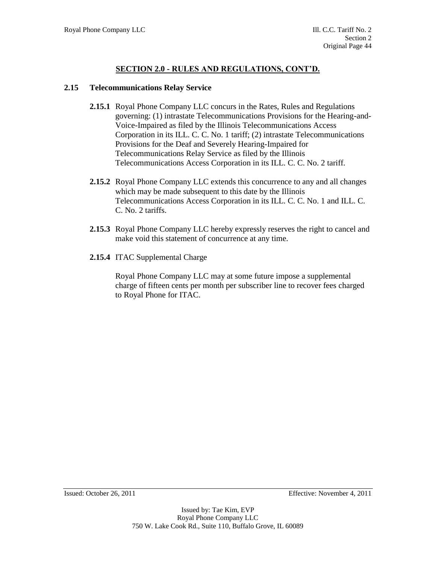#### **2.15 Telecommunications Relay Service**

- **2.15.1** Royal Phone Company LLC concurs in the Rates, Rules and Regulations governing: (1) intrastate Telecommunications Provisions for the Hearing-and-Voice-Impaired as filed by the Illinois Telecommunications Access Corporation in its ILL. C. C. No. 1 tariff; (2) intrastate Telecommunications Provisions for the Deaf and Severely Hearing-Impaired for Telecommunications Relay Service as filed by the Illinois Telecommunications Access Corporation in its ILL. C. C. No. 2 tariff.
- **2.15.2** Royal Phone Company LLC extends this concurrence to any and all changes which may be made subsequent to this date by the Illinois Telecommunications Access Corporation in its ILL. C. C. No. 1 and ILL. C. C. No. 2 tariffs.
- **2.15.3** Royal Phone Company LLC hereby expressly reserves the right to cancel and make void this statement of concurrence at any time.
- **2.15.4** ITAC Supplemental Charge

Royal Phone Company LLC may at some future impose a supplemental charge of fifteen cents per month per subscriber line to recover fees charged to Royal Phone for ITAC.

Issued: October 26, 2011 Effective: November 4, 2011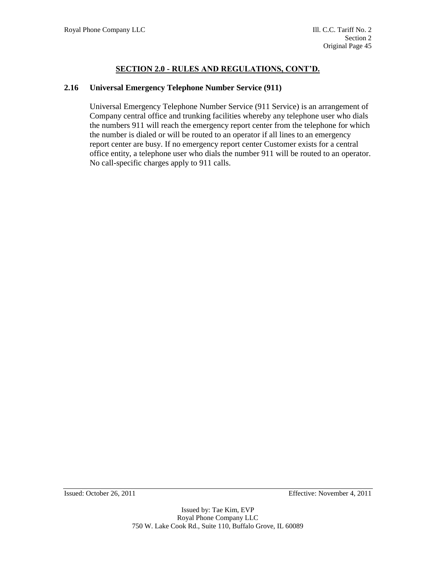### **2.16 Universal Emergency Telephone Number Service (911)**

Universal Emergency Telephone Number Service (911 Service) is an arrangement of Company central office and trunking facilities whereby any telephone user who dials the numbers 911 will reach the emergency report center from the telephone for which the number is dialed or will be routed to an operator if all lines to an emergency report center are busy. If no emergency report center Customer exists for a central office entity, a telephone user who dials the number 911 will be routed to an operator. No call-specific charges apply to 911 calls.

Issued: October 26, 2011 Effective: November 4, 2011

Issued by: Tae Kim, EVP Royal Phone Company LLC 750 W. Lake Cook Rd., Suite 110, Buffalo Grove, IL 60089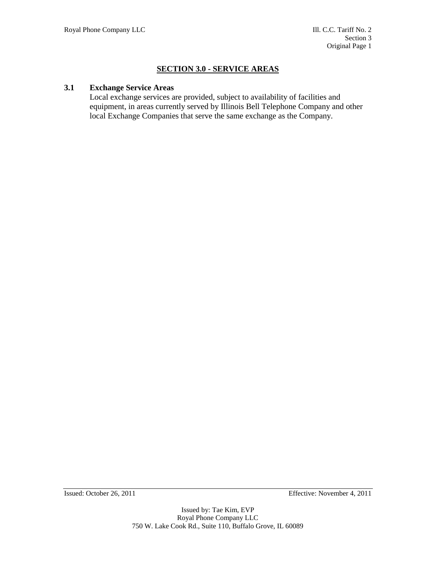# **SECTION 3.0 - SERVICE AREAS**

### **3.1 Exchange Service Areas**

Local exchange services are provided, subject to availability of facilities and equipment, in areas currently served by Illinois Bell Telephone Company and other local Exchange Companies that serve the same exchange as the Company.

Issued: October 26, 2011 Effective: November 4, 2011

Issued by: Tae Kim, EVP Royal Phone Company LLC 750 W. Lake Cook Rd., Suite 110, Buffalo Grove, IL 60089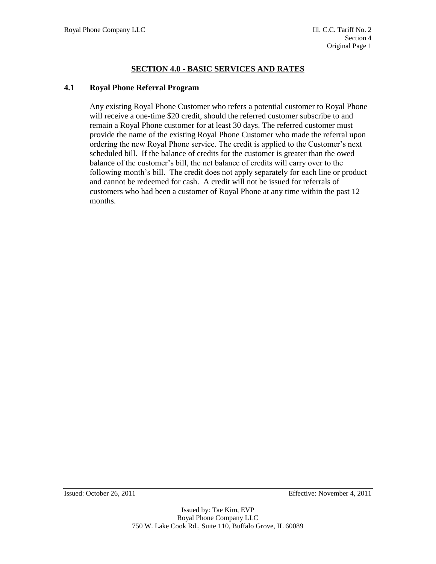# **SECTION 4.0 - BASIC SERVICES AND RATES**

### **4.1 Royal Phone Referral Program**

Any existing Royal Phone Customer who refers a potential customer to Royal Phone will receive a one-time \$20 credit, should the referred customer subscribe to and remain a Royal Phone customer for at least 30 days. The referred customer must provide the name of the existing Royal Phone Customer who made the referral upon ordering the new Royal Phone service. The credit is applied to the Customer's next scheduled bill. If the balance of credits for the customer is greater than the owed balance of the customer's bill, the net balance of credits will carry over to the following month's bill. The credit does not apply separately for each line or product and cannot be redeemed for cash. A credit will not be issued for referrals of customers who had been a customer of Royal Phone at any time within the past 12 months.

Issued: October 26, 2011 Effective: November 4, 2011

Issued by: Tae Kim, EVP Royal Phone Company LLC 750 W. Lake Cook Rd., Suite 110, Buffalo Grove, IL 60089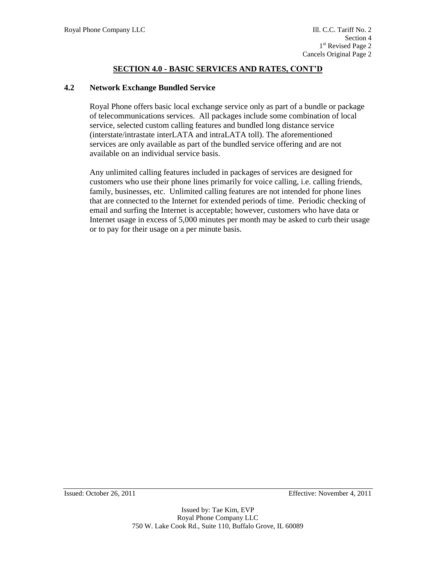### **4.2 Network Exchange Bundled Service**

Royal Phone offers basic local exchange service only as part of a bundle or package of telecommunications services. All packages include some combination of local service, selected custom calling features and bundled long distance service (interstate/intrastate interLATA and intraLATA toll). The aforementioned services are only available as part of the bundled service offering and are not available on an individual service basis.

Any unlimited calling features included in packages of services are designed for customers who use their phone lines primarily for voice calling, i.e. calling friends, family, businesses, etc. Unlimited calling features are not intended for phone lines that are connected to the Internet for extended periods of time. Periodic checking of email and surfing the Internet is acceptable; however, customers who have data or Internet usage in excess of 5,000 minutes per month may be asked to curb their usage or to pay for their usage on a per minute basis.

Issued: October 26, 2011 Effective: November 4, 2011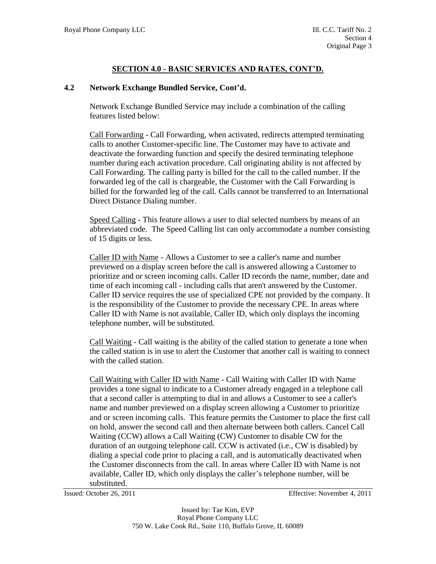### **4.2 Network Exchange Bundled Service, Cont'd.**

Network Exchange Bundled Service may include a combination of the calling features listed below:

Call Forwarding - Call Forwarding, when activated, redirects attempted terminating calls to another Customer-specific line. The Customer may have to activate and deactivate the forwarding function and specify the desired terminating telephone number during each activation procedure. Call originating ability is not affected by Call Forwarding. The calling party is billed for the call to the called number. If the forwarded leg of the call is chargeable, the Customer with the Call Forwarding is billed for the forwarded leg of the call. Calls cannot be transferred to an International Direct Distance Dialing number.

Speed Calling - This feature allows a user to dial selected numbers by means of an abbreviated code. The Speed Calling list can only accommodate a number consisting of 15 digits or less.

Caller ID with Name - Allows a Customer to see a caller's name and number previewed on a display screen before the call is answered allowing a Customer to prioritize and or screen incoming calls. Caller ID records the name, number, date and time of each incoming call - including calls that aren't answered by the Customer. Caller ID service requires the use of specialized CPE not provided by the company. It is the responsibility of the Customer to provide the necessary CPE. In areas where Caller ID with Name is not available, Caller ID, which only displays the incoming telephone number, will be substituted.

Call Waiting - Call waiting is the ability of the called station to generate a tone when the called station is in use to alert the Customer that another call is waiting to connect with the called station.

Call Waiting with Caller ID with Name - Call Waiting with Caller ID with Name provides a tone signal to indicate to a Customer already engaged in a telephone call that a second caller is attempting to dial in and allows a Customer to see a caller's name and number previewed on a display screen allowing a Customer to prioritize and or screen incoming calls. This feature permits the Customer to place the first call on hold, answer the second call and then alternate between both callers. Cancel Call Waiting (CCW) allows a Call Waiting (CW) Customer to disable CW for the duration of an outgoing telephone call. CCW is activated (i.e., CW is disabled) by dialing a special code prior to placing a call, and is automatically deactivated when the Customer disconnects from the call. In areas where Caller ID with Name is not available, Caller ID, which only displays the caller's telephone number, will be substituted.

Issued: October 26, 2011 Effective: November 4, 2011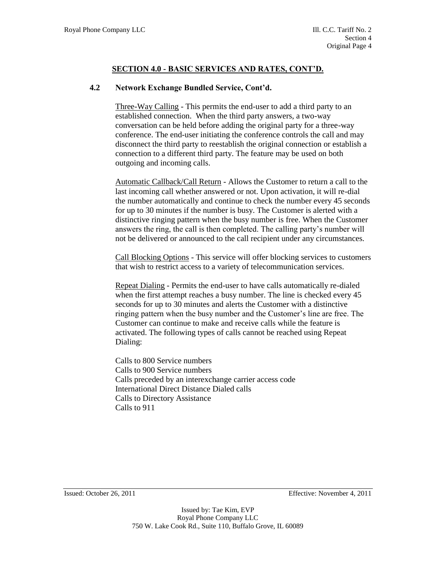# **4.2 Network Exchange Bundled Service, Cont'd.**

Three-Way Calling - This permits the end-user to add a third party to an established connection. When the third party answers, a two-way conversation can be held before adding the original party for a three-way conference. The end-user initiating the conference controls the call and may disconnect the third party to reestablish the original connection or establish a connection to a different third party. The feature may be used on both outgoing and incoming calls.

Automatic Callback/Call Return - Allows the Customer to return a call to the last incoming call whether answered or not. Upon activation, it will re-dial the number automatically and continue to check the number every 45 seconds for up to 30 minutes if the number is busy. The Customer is alerted with a distinctive ringing pattern when the busy number is free. When the Customer answers the ring, the call is then completed. The calling party's number will not be delivered or announced to the call recipient under any circumstances.

Call Blocking Options - This service will offer blocking services to customers that wish to restrict access to a variety of telecommunication services.

Repeat Dialing - Permits the end-user to have calls automatically re-dialed when the first attempt reaches a busy number. The line is checked every 45 seconds for up to 30 minutes and alerts the Customer with a distinctive ringing pattern when the busy number and the Customer's line are free. The Customer can continue to make and receive calls while the feature is activated. The following types of calls cannot be reached using Repeat Dialing:

Calls to 800 Service numbers Calls to 900 Service numbers Calls preceded by an interexchange carrier access code International Direct Distance Dialed calls Calls to Directory Assistance Calls to 911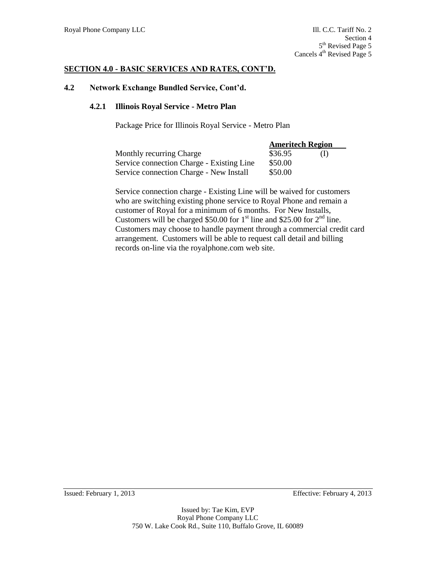#### **4.2 Network Exchange Bundled Service, Cont'd.**

#### **4.2.1 Illinois Royal Service - Metro Plan**

Package Price for Illinois Royal Service - Metro Plan

|                                           | <b>Ameritech Region</b> |     |  |
|-------------------------------------------|-------------------------|-----|--|
| <b>Monthly recurring Charge</b>           | \$36.95                 | (1) |  |
| Service connection Charge - Existing Line | \$50.00                 |     |  |
| Service connection Charge - New Install   | \$50.00                 |     |  |

Service connection charge - Existing Line will be waived for customers who are switching existing phone service to Royal Phone and remain a customer of Royal for a minimum of 6 months. For New Installs, Customers will be charged \$50.00 for  $1<sup>st</sup>$  line and \$25.00 for  $2<sup>nd</sup>$  line. Customers may choose to handle payment through a commercial credit card arrangement. Customers will be able to request call detail and billing records on-line via the royalphone.com web site.

Issued: February 1, 2013 Effective: February 4, 2013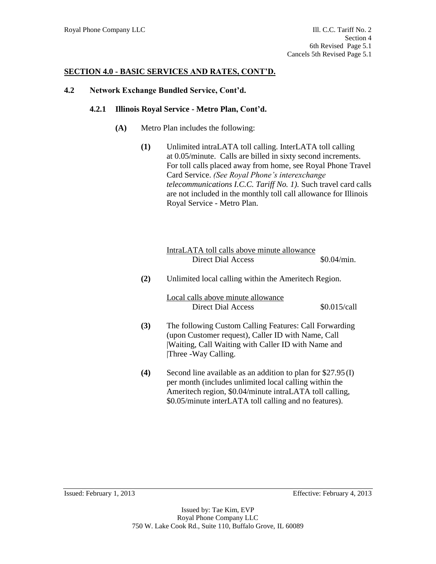### **4.2 Network Exchange Bundled Service, Cont'd.**

#### **4.2.1 Illinois Royal Service - Metro Plan, Cont'd.**

- **(A)** Metro Plan includes the following:
	- **(1)** Unlimited intraLATA toll calling. InterLATA toll calling at 0.05/minute. Calls are billed in sixty second increments. For toll calls placed away from home, see Royal Phone Travel Card Service. *(See Royal Phone's interexchange telecommunications I.C.C. Tariff No. 1).* Such travel card calls are not included in the monthly toll call allowance for Illinois Royal Service - Metro Plan.

|     | IntraLATA toll calls above minute allowance<br>Direct Dial Access                                                                                                                                                                           | \$0.04/min.  |
|-----|---------------------------------------------------------------------------------------------------------------------------------------------------------------------------------------------------------------------------------------------|--------------|
| (2) | Unlimited local calling within the Ameritech Region.                                                                                                                                                                                        |              |
|     | Local calls above minute allowance<br>Direct Dial Access                                                                                                                                                                                    | \$0.015/call |
| (3) | The following Custom Calling Features: Call Forwarding<br>(upon Customer request), Caller ID with Name, Call<br>Waiting, Call Waiting with Caller ID with Name and<br>Three -Way Calling.                                                   |              |
| (4) | Second line available as an addition to plan for $$27.95(I)$<br>per month (includes unlimited local calling within the<br>Ameritech region, \$0.04/minute intraLATA toll calling,<br>\$0.05/minute interLATA toll calling and no features). |              |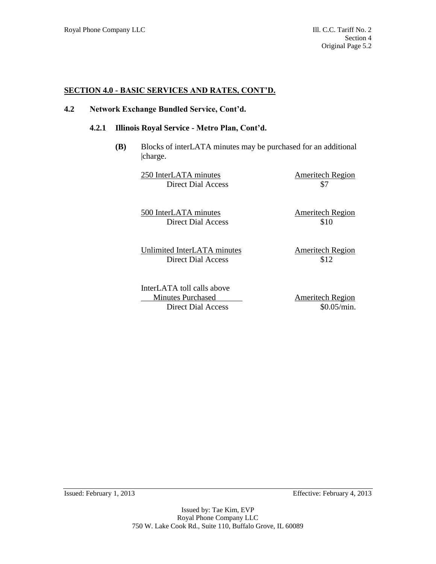### **4.2 Network Exchange Bundled Service, Cont'd.**

#### **4.2.1 Illinois Royal Service - Metro Plan, Cont'd.**

**(B)** Blocks of interLATA minutes may be purchased for an additional |charge.

> 250 InterLATA minutes Ameritech Region Direct Dial Access \$7

500 InterLATA minutes Ameritech Region Direct Dial Access \$10

Unlimited InterLATA minutes Ameritech Region Direct Dial Access \$12

InterLATA toll calls above Minutes Purchased Ameritech Region Direct Dial Access \$0.05/min.

Issued: February 1, 2013 Effective: February 4, 2013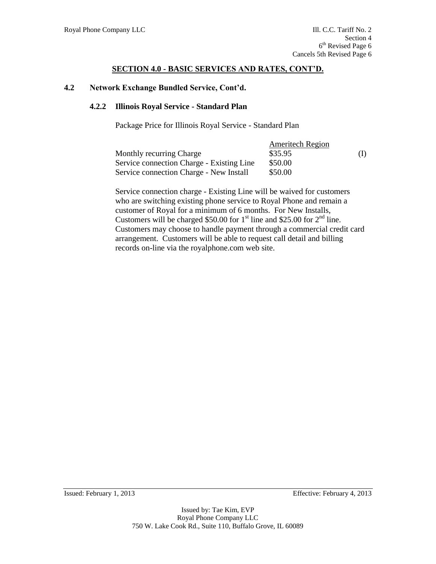### **4.2 Network Exchange Bundled Service, Cont'd.**

### **4.2.2 Illinois Royal Service - Standard Plan**

Package Price for Illinois Royal Service - Standard Plan

|                                           | <b>Ameritech Region</b> |     |
|-------------------------------------------|-------------------------|-----|
| Monthly recurring Charge                  | \$35.95                 | (I) |
| Service connection Charge - Existing Line | \$50.00                 |     |
| Service connection Charge - New Install   | \$50.00                 |     |

Service connection charge - Existing Line will be waived for customers who are switching existing phone service to Royal Phone and remain a customer of Royal for a minimum of 6 months. For New Installs, Customers will be charged \$50.00 for  $1<sup>st</sup>$  line and \$25.00 for  $2<sup>nd</sup>$  line. Customers may choose to handle payment through a commercial credit card arrangement. Customers will be able to request call detail and billing records on-line via the royalphone.com web site.

Issued: February 1, 2013 Effective: February 4, 2013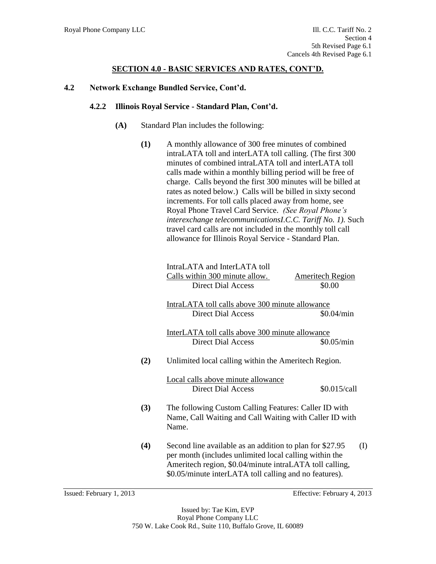### **4.2 Network Exchange Bundled Service, Cont'd.**

### **4.2.2 Illinois Royal Service - Standard Plan, Cont'd.**

- **(A)** Standard Plan includes the following:
	- **(1)** A monthly allowance of 300 free minutes of combined intraLATA toll and interLATA toll calling. (The first 300 minutes of combined intraLATA toll and interLATA toll calls made within a monthly billing period will be free of charge. Calls beyond the first 300 minutes will be billed at rates as noted below.) Calls will be billed in sixty second increments. For toll calls placed away from home, see Royal Phone Travel Card Service. *(See Royal Phone's interexchange telecommunicationsI.C.C. Tariff No. 1).* Such travel card calls are not included in the monthly toll call allowance for Illinois Royal Service - Standard Plan.

|     | IntraLATA and InterLATA toll<br>Calls within 300 minute allow.<br><b>Direct Dial Access</b>                                                                                                                                             | <b>Ameritech Region</b><br>\$0.00 |
|-----|-----------------------------------------------------------------------------------------------------------------------------------------------------------------------------------------------------------------------------------------|-----------------------------------|
|     | IntraLATA toll calls above 300 minute allowance<br><b>Direct Dial Access</b>                                                                                                                                                            | \$0.04/min                        |
|     | InterLATA toll calls above 300 minute allowance<br><b>Direct Dial Access</b>                                                                                                                                                            | \$0.05/min                        |
| (2) | Unlimited local calling within the Ameritech Region.                                                                                                                                                                                    |                                   |
|     | Local calls above minute allowance<br><b>Direct Dial Access</b>                                                                                                                                                                         | \$0.015/call                      |
| (3) | The following Custom Calling Features: Caller ID with<br>Name, Call Waiting and Call Waiting with Caller ID with<br>Name.                                                                                                               |                                   |
| (4) | Second line available as an addition to plan for \$27.95<br>per month (includes unlimited local calling within the<br>Ameritech region, \$0.04/minute intraLATA toll calling,<br>\$0.05/minute interLATA toll calling and no features). | (I)                               |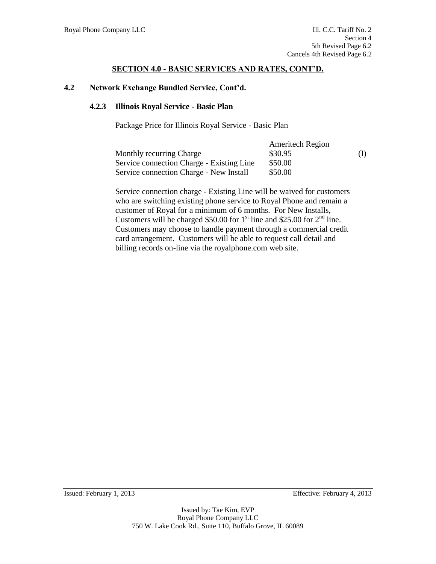### **4.2 Network Exchange Bundled Service, Cont'd.**

### **4.2.3 Illinois Royal Service - Basic Plan**

Package Price for Illinois Royal Service - Basic Plan

|                                           | <b>Ameritech Region</b> |     |
|-------------------------------------------|-------------------------|-----|
| Monthly recurring Charge                  | \$30.95                 | (I) |
| Service connection Charge - Existing Line | \$50.00                 |     |
| Service connection Charge - New Install   | \$50.00                 |     |

Service connection charge - Existing Line will be waived for customers who are switching existing phone service to Royal Phone and remain a customer of Royal for a minimum of 6 months. For New Installs, Customers will be charged \$50.00 for  $1<sup>st</sup>$  line and \$25.00 for  $2<sup>nd</sup>$  line. Customers may choose to handle payment through a commercial credit card arrangement. Customers will be able to request call detail and billing records on-line via the royalphone.com web site.

Issued: February 1, 2013 Effective: February 4, 2013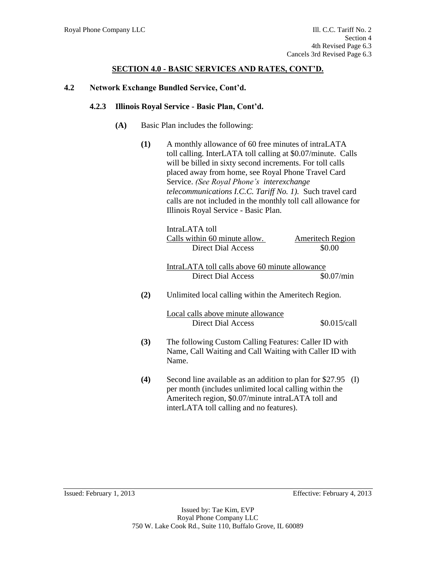### **4.2 Network Exchange Bundled Service, Cont'd.**

#### **4.2.3 Illinois Royal Service - Basic Plan, Cont'd.**

- **(A)** Basic Plan includes the following:
	- **(1)** A monthly allowance of 60 free minutes of intraLATA toll calling. InterLATA toll calling at \$0.07/minute. Calls will be billed in sixty second increments. For toll calls placed away from home, see Royal Phone Travel Card Service. *(See Royal Phone's interexchange telecommunications I.C.C. Tariff No. 1).* Such travel card calls are not included in the monthly toll call allowance for Illinois Royal Service - Basic Plan.

|     | IntraLATA toll<br>Calls within 60 minute allow.<br><b>Direct Dial Access</b>                                                                                                                                         | <b>Ameritech Region</b><br>\$0.00 |
|-----|----------------------------------------------------------------------------------------------------------------------------------------------------------------------------------------------------------------------|-----------------------------------|
|     | IntraLATA toll calls above 60 minute allowance                                                                                                                                                                       |                                   |
|     | Direct Dial Access                                                                                                                                                                                                   | \$0.07/min                        |
| (2) | Unlimited local calling within the Ameritech Region.                                                                                                                                                                 |                                   |
|     | Local calls above minute allowance<br>Direct Dial Access                                                                                                                                                             | \$0.015/call                      |
| (3) | The following Custom Calling Features: Caller ID with<br>Name, Call Waiting and Call Waiting with Caller ID with<br>Name.                                                                                            |                                   |
| (4) | Second line available as an addition to plan for \$27.95<br>per month (includes unlimited local calling within the<br>Ameritech region, \$0.07/minute intraLATA toll and<br>interLATA toll calling and no features). | (I)                               |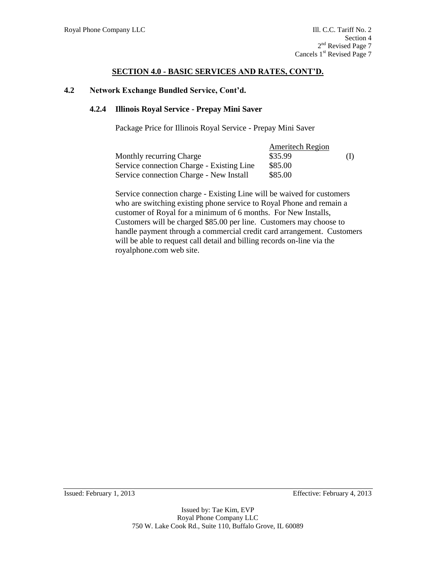### **4.2 Network Exchange Bundled Service, Cont'd.**

### **4.2.4 Illinois Royal Service - Prepay Mini Saver**

Package Price for Illinois Royal Service - Prepay Mini Saver

|                                           | <b>Ameritech Region</b> |     |
|-------------------------------------------|-------------------------|-----|
| Monthly recurring Charge                  | \$35.99                 | (I) |
| Service connection Charge - Existing Line | \$85.00                 |     |
| Service connection Charge - New Install   | \$85.00                 |     |

Service connection charge - Existing Line will be waived for customers who are switching existing phone service to Royal Phone and remain a customer of Royal for a minimum of 6 months. For New Installs, Customers will be charged \$85.00 per line. Customers may choose to handle payment through a commercial credit card arrangement. Customers will be able to request call detail and billing records on-line via the royalphone.com web site.

Issued: February 1, 2013 Effective: February 4, 2013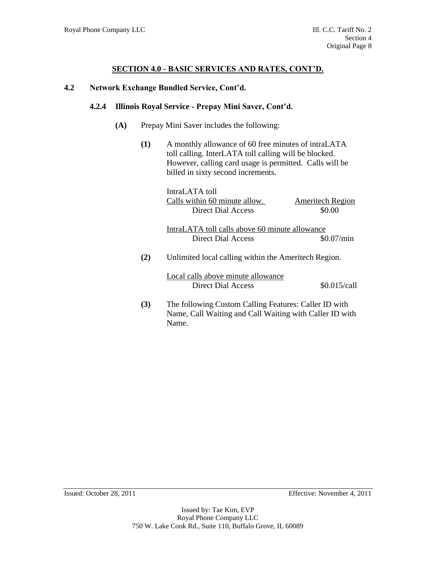### **4.2 Network Exchange Bundled Service, Cont'd.**

### **4.2.4 Illinois Royal Service - Prepay Mini Saver, Cont'd.**

- **(A)** Prepay Mini Saver includes the following:
	- **(1)** A monthly allowance of 60 free minutes of intraLATA toll calling. InterLATA toll calling will be blocked. However, calling card usage is permitted. Calls will be billed in sixty second increments.

|     | IntraLATA toll                                                                                                   |                         |
|-----|------------------------------------------------------------------------------------------------------------------|-------------------------|
|     | Calls within 60 minute allow.                                                                                    | <b>Ameritech Region</b> |
|     | Direct Dial Access                                                                                               | \$0.00                  |
|     | IntraLATA toll calls above 60 minute allowance                                                                   |                         |
|     | Direct Dial Access                                                                                               | \$0.07/min              |
| (2) | Unlimited local calling within the Ameritech Region.                                                             |                         |
|     | Local calls above minute allowance<br>Direct Dial Access                                                         | \$0.015/call            |
| (3) | The following Custom Calling Features: Caller ID with<br>Name, Call Waiting and Call Waiting with Caller ID with |                         |

Name.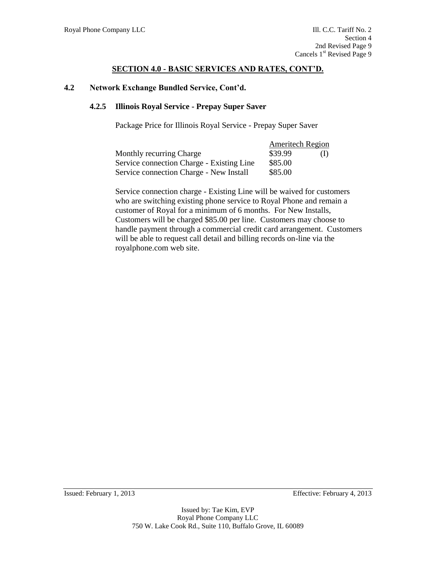#### **SECTION 4.0 - BASIC SERVICES AND RATES, CONT'D.**

#### **4.2 Network Exchange Bundled Service, Cont'd.**

#### **4.2.5 Illinois Royal Service - Prepay Super Saver**

Package Price for Illinois Royal Service - Prepay Super Saver

|                                           | <b>Ameritech Region</b> |  |
|-------------------------------------------|-------------------------|--|
| Monthly recurring Charge                  | \$39.99                 |  |
| Service connection Charge - Existing Line | \$85.00                 |  |
| Service connection Charge - New Install   | \$85.00                 |  |

Service connection charge - Existing Line will be waived for customers who are switching existing phone service to Royal Phone and remain a customer of Royal for a minimum of 6 months. For New Installs, Customers will be charged \$85.00 per line. Customers may choose to handle payment through a commercial credit card arrangement. Customers will be able to request call detail and billing records on-line via the royalphone.com web site.

Issued: February 1, 2013 Effective: February 4, 2013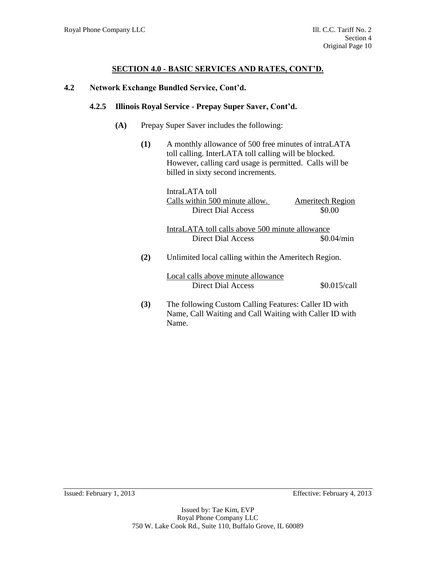# **SECTION 4.0 - BASIC SERVICES AND RATES, CONT'D.**

#### **4.2 Network Exchange Bundled Service, Cont'd.**

#### **4.2.5 Illinois Royal Service - Prepay Super Saver, Cont'd.**

- **(A)** Prepay Super Saver includes the following:
	- **(1)** A monthly allowance of 500 free minutes of intraLATA toll calling. InterLATA toll calling will be blocked. However, calling card usage is permitted. Calls will be billed in sixty second increments.

|     | IntraLATA toll                                        |                         |
|-----|-------------------------------------------------------|-------------------------|
|     | Calls within 500 minute allow.                        | <b>Ameritech Region</b> |
|     | Direct Dial Access                                    | \$0.00                  |
|     | IntraLATA toll calls above 500 minute allowance       |                         |
|     | Direct Dial Access                                    | \$0.04/min              |
| (2) | Unlimited local calling within the Ameritech Region.  |                         |
|     | Local calls above minute allowance                    |                         |
|     | Direct Dial Access                                    | \$0.015/call            |
| (3) | The following Custom Calling Features: Caller ID with |                         |

**(3)** The following Custom Calling Features: Caller ID with Name, Call Waiting and Call Waiting with Caller ID with Name.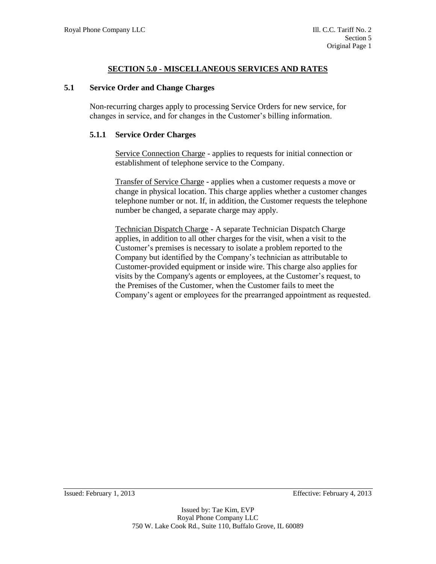#### **5.1 Service Order and Change Charges**

Non-recurring charges apply to processing Service Orders for new service, for changes in service, and for changes in the Customer's billing information.

#### **5.1.1 Service Order Charges**

Service Connection Charge - applies to requests for initial connection or establishment of telephone service to the Company.

Transfer of Service Charge - applies when a customer requests a move or change in physical location. This charge applies whether a customer changes telephone number or not. If, in addition, the Customer requests the telephone number be changed, a separate charge may apply.

Technician Dispatch Charge - A separate Technician Dispatch Charge applies, in addition to all other charges for the visit, when a visit to the Customer's premises is necessary to isolate a problem reported to the Company but identified by the Company's technician as attributable to Customer-provided equipment or inside wire. This charge also applies for visits by the Company's agents or employees, at the Customer's request, to the Premises of the Customer, when the Customer fails to meet the Company's agent or employees for the prearranged appointment as requested.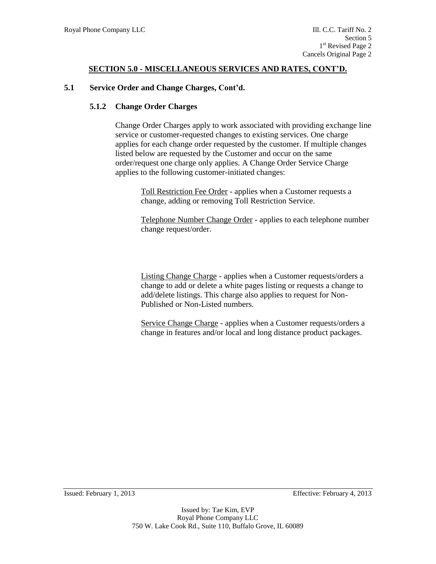#### **5.1 Service Order and Change Charges, Cont'd.**

#### **5.1.2 Change Order Charges**

Change Order Charges apply to work associated with providing exchange line service or customer-requested changes to existing services. One charge applies for each change order requested by the customer. If multiple changes listed below are requested by the Customer and occur on the same order/request one charge only applies. A Change Order Service Charge applies to the following customer-initiated changes:

> Toll Restriction Fee Order - applies when a Customer requests a change, adding or removing Toll Restriction Service.

Telephone Number Change Order - applies to each telephone number change request/order.

Listing Change Charge - applies when a Customer requests/orders a change to add or delete a white pages listing or requests a change to add/delete listings. This charge also applies to request for Non-Published or Non-Listed numbers.

Service Change Charge - applies when a Customer requests/orders a change in features and/or local and long distance product packages.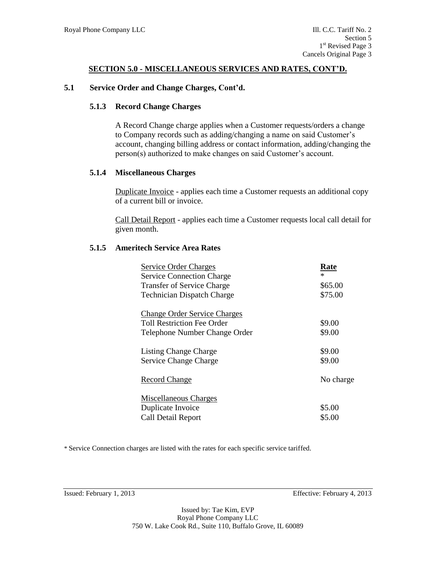#### **5.1 Service Order and Change Charges, Cont'd.**

#### **5.1.3 Record Change Charges**

A Record Change charge applies when a Customer requests/orders a change to Company records such as adding/changing a name on said Customer's account, changing billing address or contact information, adding/changing the person(s) authorized to make changes on said Customer's account.

#### **5.1.4 Miscellaneous Charges**

Duplicate Invoice - applies each time a Customer requests an additional copy of a current bill or invoice.

Call Detail Report - applies each time a Customer requests local call detail for given month.

#### **5.1.5 Ameritech Service Area Rates**

| Service Order Charges               | Rate      |
|-------------------------------------|-----------|
| <b>Service Connection Charge</b>    | $\ast$    |
| <b>Transfer of Service Charge</b>   | \$65.00   |
| <b>Technician Dispatch Charge</b>   | \$75.00   |
| <b>Change Order Service Charges</b> |           |
| <b>Toll Restriction Fee Order</b>   | \$9.00    |
| Telephone Number Change Order       | \$9.00    |
| <b>Listing Change Charge</b>        | \$9.00    |
| <b>Service Change Charge</b>        | \$9.00    |
| <b>Record Change</b>                | No charge |
| <b>Miscellaneous Charges</b>        |           |
| Duplicate Invoice                   | \$5.00    |
| Call Detail Report                  | \$5.00    |

\* Service Connection charges are listed with the rates for each specific service tariffed.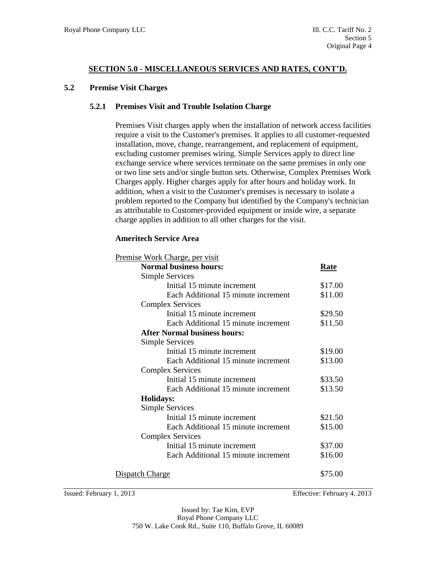#### **5.2 Premise Visit Charges**

#### **5.2.1 Premises Visit and Trouble Isolation Charge**

Premises Visit charges apply when the installation of network access facilities require a visit to the Customer's premises. It applies to all customer-requested installation, move, change, rearrangement, and replacement of equipment, excluding customer premises wiring. Simple Services apply to direct line exchange service where services terminate on the same premises in only one or two line sets and/or single button sets. Otherwise, Complex Premises Work Charges apply. Higher charges apply for after hours and holiday work. In addition, when a visit to the Customer's premises is necessary to isolate a problem reported to the Company but identified by the Company's technician as attributable to Customer-provided equipment or inside wire, a separate charge applies in addition to all other charges for the visit.

#### **Ameritech Service Area**

| <u>Premise Work Charge, per visit</u> |         |
|---------------------------------------|---------|
| <b>Normal business hours:</b>         | Rate    |
| <b>Simple Services</b>                |         |
| Initial 15 minute increment           | \$17.00 |
| Each Additional 15 minute increment   | \$11.00 |
| <b>Complex Services</b>               |         |
| Initial 15 minute increment           | \$29.50 |
| Each Additional 15 minute increment   | \$11.50 |
| <b>After Normal business hours:</b>   |         |
| Simple Services                       |         |
| Initial 15 minute increment           | \$19.00 |
| Each Additional 15 minute increment   | \$13.00 |
| <b>Complex Services</b>               |         |
| Initial 15 minute increment           | \$33.50 |
| Each Additional 15 minute increment   | \$13.50 |
| <b>Holidays:</b>                      |         |
| <b>Simple Services</b>                |         |
| Initial 15 minute increment           | \$21.50 |
| Each Additional 15 minute increment   | \$15.00 |
| <b>Complex Services</b>               |         |
| Initial 15 minute increment           | \$37.00 |
| Each Additional 15 minute increment   | \$16.00 |
| <u>Dispatch Charge</u>                | \$75.00 |

Issued: February 1, 2013 Effective: February 4, 2013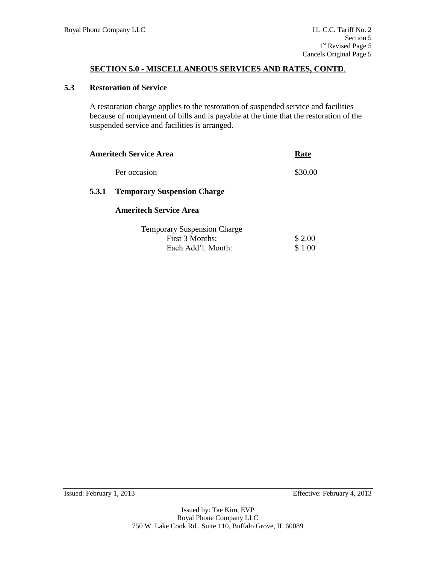#### **5.3 Restoration of Service**

A restoration charge applies to the restoration of suspended service and facilities because of nonpayment of bills and is payable at the time that the restoration of the suspended service and facilities is arranged.

|       | Ameritech Service Area             | Rate    |
|-------|------------------------------------|---------|
|       | Per occasion                       | \$30.00 |
| 5.3.1 | <b>Temporary Suspension Charge</b> |         |
|       | <b>Ameritech Service Area</b>      |         |
|       |                                    |         |

| <b>Temporary Suspension Charge</b> |        |
|------------------------------------|--------|
| First 3 Months:                    | \$2.00 |
| Each Add'l. Month:                 | \$1.00 |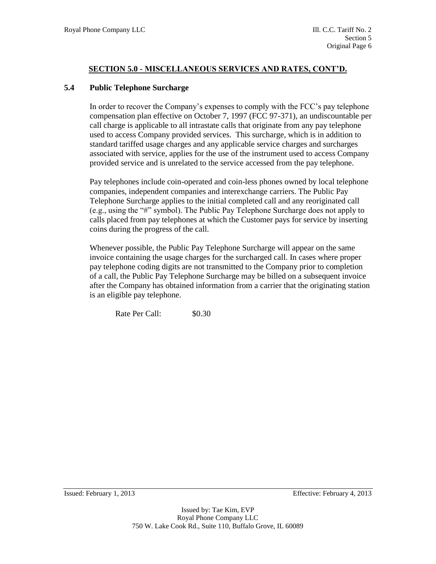#### **5.4 Public Telephone Surcharge**

In order to recover the Company's expenses to comply with the FCC's pay telephone compensation plan effective on October 7, 1997 (FCC 97-371), an undiscountable per call charge is applicable to all intrastate calls that originate from any pay telephone used to access Company provided services. This surcharge, which is in addition to standard tariffed usage charges and any applicable service charges and surcharges associated with service, applies for the use of the instrument used to access Company provided service and is unrelated to the service accessed from the pay telephone.

Pay telephones include coin-operated and coin-less phones owned by local telephone companies, independent companies and interexchange carriers. The Public Pay Telephone Surcharge applies to the initial completed call and any reoriginated call (e.g., using the "#" symbol). The Public Pay Telephone Surcharge does not apply to calls placed from pay telephones at which the Customer pays for service by inserting coins during the progress of the call.

Whenever possible, the Public Pay Telephone Surcharge will appear on the same invoice containing the usage charges for the surcharged call. In cases where proper pay telephone coding digits are not transmitted to the Company prior to completion of a call, the Public Pay Telephone Surcharge may be billed on a subsequent invoice after the Company has obtained information from a carrier that the originating station is an eligible pay telephone.

Rate Per Call:  $$0.30$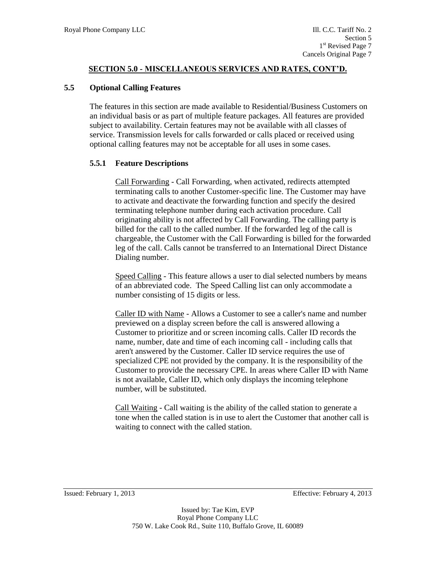#### **5.5 Optional Calling Features**

The features in this section are made available to Residential/Business Customers on an individual basis or as part of multiple feature packages. All features are provided subject to availability. Certain features may not be available with all classes of service. Transmission levels for calls forwarded or calls placed or received using optional calling features may not be acceptable for all uses in some cases.

#### **5.5.1 Feature Descriptions**

Call Forwarding - Call Forwarding, when activated, redirects attempted terminating calls to another Customer-specific line. The Customer may have to activate and deactivate the forwarding function and specify the desired terminating telephone number during each activation procedure. Call originating ability is not affected by Call Forwarding. The calling party is billed for the call to the called number. If the forwarded leg of the call is chargeable, the Customer with the Call Forwarding is billed for the forwarded leg of the call. Calls cannot be transferred to an International Direct Distance Dialing number.

Speed Calling - This feature allows a user to dial selected numbers by means of an abbreviated code. The Speed Calling list can only accommodate a number consisting of 15 digits or less.

Caller ID with Name - Allows a Customer to see a caller's name and number previewed on a display screen before the call is answered allowing a Customer to prioritize and or screen incoming calls. Caller ID records the name, number, date and time of each incoming call - including calls that aren't answered by the Customer. Caller ID service requires the use of specialized CPE not provided by the company. It is the responsibility of the Customer to provide the necessary CPE. In areas where Caller ID with Name is not available, Caller ID, which only displays the incoming telephone number, will be substituted.

Call Waiting - Call waiting is the ability of the called station to generate a tone when the called station is in use to alert the Customer that another call is waiting to connect with the called station.

Issued: February 1, 2013 Effective: February 4, 2013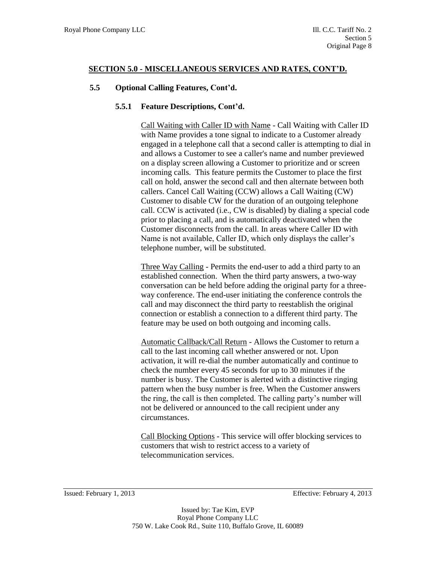# **5.5 Optional Calling Features, Cont'd.**

#### **5.5.1 Feature Descriptions, Cont'd.**

Call Waiting with Caller ID with Name - Call Waiting with Caller ID with Name provides a tone signal to indicate to a Customer already engaged in a telephone call that a second caller is attempting to dial in and allows a Customer to see a caller's name and number previewed on a display screen allowing a Customer to prioritize and or screen incoming calls. This feature permits the Customer to place the first call on hold, answer the second call and then alternate between both callers. Cancel Call Waiting (CCW) allows a Call Waiting (CW) Customer to disable CW for the duration of an outgoing telephone call. CCW is activated (i.e., CW is disabled) by dialing a special code prior to placing a call, and is automatically deactivated when the Customer disconnects from the call. In areas where Caller ID with Name is not available, Caller ID, which only displays the caller's telephone number, will be substituted.

Three Way Calling - Permits the end-user to add a third party to an established connection. When the third party answers, a two-way conversation can be held before adding the original party for a threeway conference. The end-user initiating the conference controls the call and may disconnect the third party to reestablish the original connection or establish a connection to a different third party. The feature may be used on both outgoing and incoming calls.

Automatic Callback/Call Return - Allows the Customer to return a call to the last incoming call whether answered or not. Upon activation, it will re-dial the number automatically and continue to check the number every 45 seconds for up to 30 minutes if the number is busy. The Customer is alerted with a distinctive ringing pattern when the busy number is free. When the Customer answers the ring, the call is then completed. The calling party's number will not be delivered or announced to the call recipient under any circumstances.

Call Blocking Options - This service will offer blocking services to customers that wish to restrict access to a variety of telecommunication services.

Issued: February 1, 2013 Effective: February 4, 2013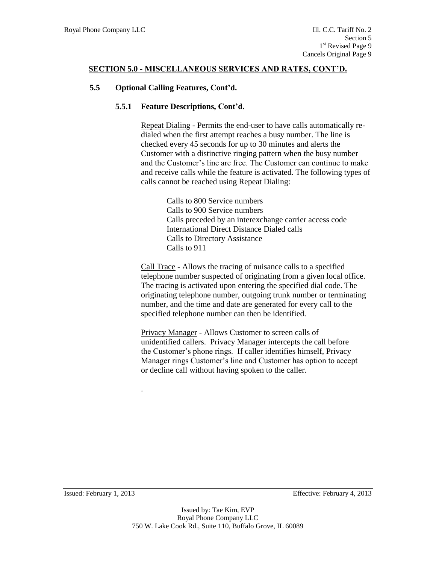# **5.5 Optional Calling Features, Cont'd.**

# **5.5.1 Feature Descriptions, Cont'd.**

Repeat Dialing - Permits the end-user to have calls automatically redialed when the first attempt reaches a busy number. The line is checked every 45 seconds for up to 30 minutes and alerts the Customer with a distinctive ringing pattern when the busy number and the Customer's line are free. The Customer can continue to make and receive calls while the feature is activated. The following types of calls cannot be reached using Repeat Dialing:

> Calls to 800 Service numbers Calls to 900 Service numbers Calls preceded by an interexchange carrier access code International Direct Distance Dialed calls Calls to Directory Assistance Calls to 911

Call Trace - Allows the tracing of nuisance calls to a specified telephone number suspected of originating from a given local office. The tracing is activated upon entering the specified dial code. The originating telephone number, outgoing trunk number or terminating number, and the time and date are generated for every call to the specified telephone number can then be identified.

Privacy Manager - Allows Customer to screen calls of unidentified callers. Privacy Manager intercepts the call before the Customer's phone rings. If caller identifies himself, Privacy Manager rings Customer's line and Customer has option to accept or decline call without having spoken to the caller.

Issued: February 1, 2013 Effective: February 4, 2013

.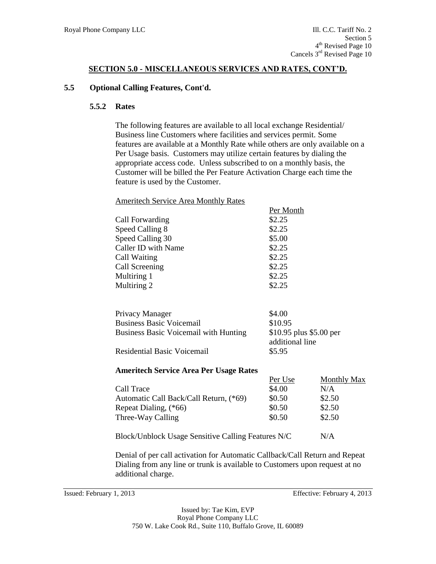Ameritech Service Area Monthly Rates

#### **5.5 Optional Calling Features, Cont'd.**

#### **5.5.2 Rates**

The following features are available to all local exchange Residential/ Business line Customers where facilities and services permit. Some features are available at a Monthly Rate while others are only available on a Per Usage basis. Customers may utilize certain features by dialing the appropriate access code. Unless subscribed to on a monthly basis, the Customer will be billed the Per Feature Activation Charge each time the feature is used by the Customer.

Per Month

| Call Forwarding                               | \$2.25                  |
|-----------------------------------------------|-------------------------|
| Speed Calling 8                               | \$2.25                  |
| Speed Calling 30                              | \$5.00                  |
| Caller ID with Name                           | \$2.25                  |
| Call Waiting                                  | \$2.25                  |
| Call Screening                                | \$2.25                  |
| Multiring 1                                   | \$2.25                  |
| Multiring 2                                   | \$2.25                  |
|                                               |                         |
| Privacy Manager                               | \$4.00                  |
| <b>Business Basic Voicemail</b>               | \$10.95                 |
| <b>Business Basic Voicemail with Hunting</b>  | \$10.95 plus \$5.00 per |
|                                               | additional line         |
| <b>Residential Basic Voicemail</b>            | \$5.95                  |
|                                               |                         |
| <b>Ameritech Service Area Per Usage Rates</b> |                         |

|                                        | Per Use | <b>Monthly Max</b> |
|----------------------------------------|---------|--------------------|
| Call Trace                             | \$4.00  | N/A                |
| Automatic Call Back/Call Return, (*69) | \$0.50  | \$2.50             |
| Repeat Dialing, (*66)                  | \$0.50  | \$2.50             |
| Three-Way Calling                      | \$0.50  | \$2.50             |

Block/Unblock Usage Sensitive Calling Features N/C N/A

Denial of per call activation for Automatic Callback/Call Return and Repeat Dialing from any line or trunk is available to Customers upon request at no additional charge.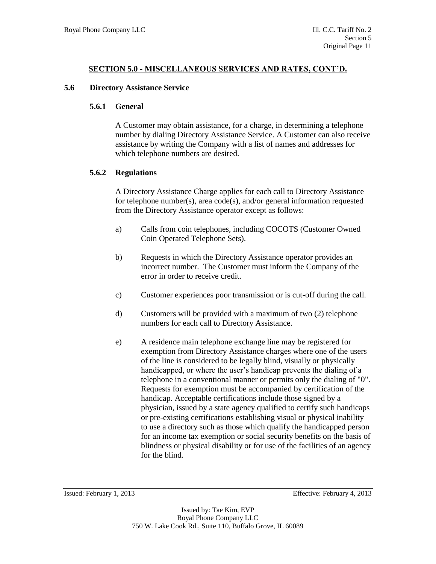#### **5.6 Directory Assistance Service**

#### **5.6.1 General**

A Customer may obtain assistance, for a charge, in determining a telephone number by dialing Directory Assistance Service. A Customer can also receive assistance by writing the Company with a list of names and addresses for which telephone numbers are desired.

# **5.6.2 Regulations**

A Directory Assistance Charge applies for each call to Directory Assistance for telephone number(s), area code(s), and/or general information requested from the Directory Assistance operator except as follows:

- a) Calls from coin telephones, including COCOTS (Customer Owned Coin Operated Telephone Sets).
- b) Requests in which the Directory Assistance operator provides an incorrect number. The Customer must inform the Company of the error in order to receive credit.
- c) Customer experiences poor transmission or is cut-off during the call.
- d) Customers will be provided with a maximum of two (2) telephone numbers for each call to Directory Assistance.
- e) A residence main telephone exchange line may be registered for exemption from Directory Assistance charges where one of the users of the line is considered to be legally blind, visually or physically handicapped, or where the user's handicap prevents the dialing of a telephone in a conventional manner or permits only the dialing of "0". Requests for exemption must be accompanied by certification of the handicap. Acceptable certifications include those signed by a physician, issued by a state agency qualified to certify such handicaps or pre-existing certifications establishing visual or physical inability to use a directory such as those which qualify the handicapped person for an income tax exemption or social security benefits on the basis of blindness or physical disability or for use of the facilities of an agency for the blind.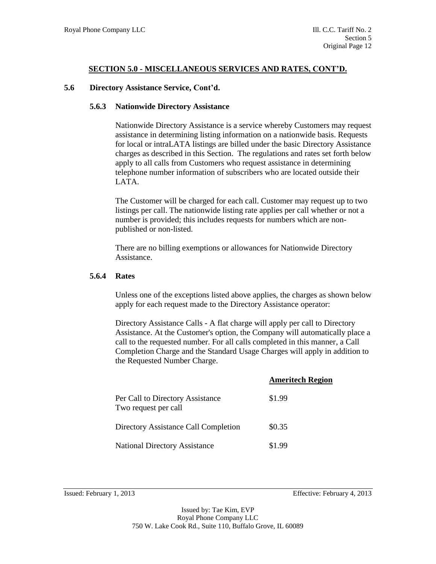#### **5.6 Directory Assistance Service, Cont'd.**

#### **5.6.3 Nationwide Directory Assistance**

Nationwide Directory Assistance is a service whereby Customers may request assistance in determining listing information on a nationwide basis. Requests for local or intraLATA listings are billed under the basic Directory Assistance charges as described in this Section. The regulations and rates set forth below apply to all calls from Customers who request assistance in determining telephone number information of subscribers who are located outside their LATA.

The Customer will be charged for each call. Customer may request up to two listings per call. The nationwide listing rate applies per call whether or not a number is provided; this includes requests for numbers which are nonpublished or non-listed.

There are no billing exemptions or allowances for Nationwide Directory Assistance.

#### **5.6.4 Rates**

Unless one of the exceptions listed above applies, the charges as shown below apply for each request made to the Directory Assistance operator:

Directory Assistance Calls - A flat charge will apply per call to Directory Assistance. At the Customer's option, the Company will automatically place a call to the requested number. For all calls completed in this manner, a Call Completion Charge and the Standard Usage Charges will apply in addition to the Requested Number Charge.

|                                                          | <b>Ameritech Region</b> |
|----------------------------------------------------------|-------------------------|
| Per Call to Directory Assistance<br>Two request per call | \$1.99                  |
| Directory Assistance Call Completion                     | \$0.35                  |
| <b>National Directory Assistance</b>                     | \$1.99                  |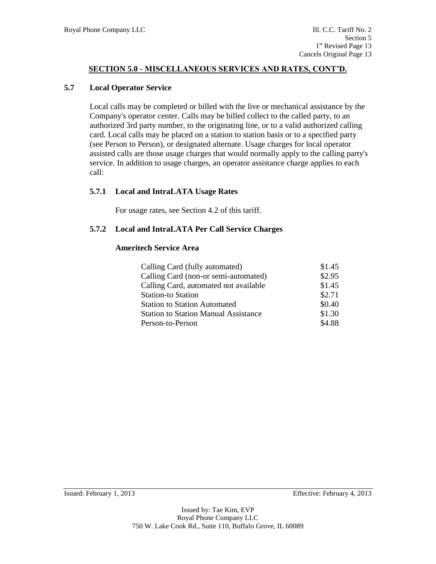#### **5.7 Local Operator Service**

Local calls may be completed or billed with the live or mechanical assistance by the Company's operator center. Calls may be billed collect to the called party, to an authorized 3rd party number, to the originating line, or to a valid authorized calling card. Local calls may be placed on a station to station basis or to a specified party (see Person to Person), or designated alternate. Usage charges for local operator assisted calls are those usage charges that would normally apply to the calling party's service. In addition to usage charges, an operator assistance charge applies to each call:

# **5.7.1 Local and IntraLATA Usage Rates**

For usage rates, see Section 4.2 of this tariff.

# **5.7.2 Local and IntraLATA Per Call Service Charges**

#### **Ameritech Service Area**

| Calling Card (fully automated)              | \$1.45 |
|---------------------------------------------|--------|
| Calling Card (non-or semi-automated)        | \$2.95 |
| Calling Card, automated not available       | \$1.45 |
| <b>Station-to Station</b>                   | \$2.71 |
| <b>Station to Station Automated</b>         | \$0.40 |
| <b>Station to Station Manual Assistance</b> | \$1.30 |
| Person-to-Person                            | \$4.88 |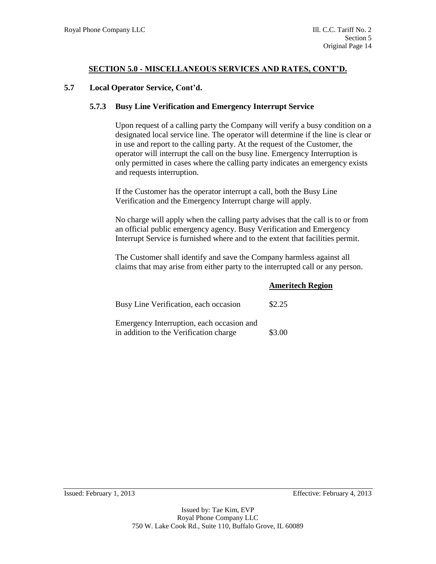#### **5.7 Local Operator Service, Cont'd.**

#### **5.7.3 Busy Line Verification and Emergency Interrupt Service**

Upon request of a calling party the Company will verify a busy condition on a designated local service line. The operator will determine if the line is clear or in use and report to the calling party. At the request of the Customer, the operator will interrupt the call on the busy line. Emergency Interruption is only permitted in cases where the calling party indicates an emergency exists and requests interruption.

If the Customer has the operator interrupt a call, both the Busy Line Verification and the Emergency Interrupt charge will apply.

No charge will apply when the calling party advises that the call is to or from an official public emergency agency. Busy Verification and Emergency Interrupt Service is furnished where and to the extent that facilities permit.

The Customer shall identify and save the Company harmless against all claims that may arise from either party to the interrupted call or any person.

|                                                                                     | <b>Ameritech Region</b> |
|-------------------------------------------------------------------------------------|-------------------------|
| Busy Line Verification, each occasion                                               | \$2.25                  |
| Emergency Interruption, each occasion and<br>in addition to the Verification charge | \$3.00                  |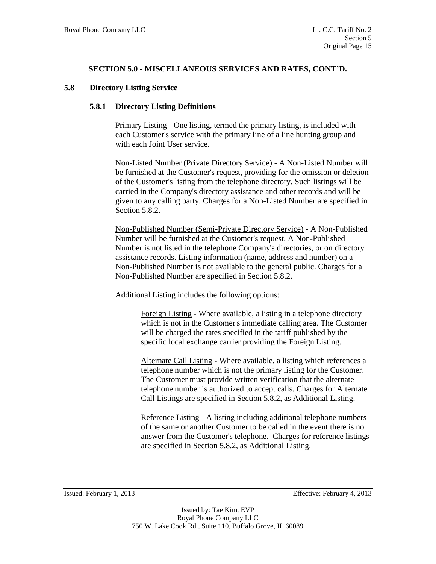#### **5.8 Directory Listing Service**

#### **5.8.1 Directory Listing Definitions**

Primary Listing - One listing, termed the primary listing, is included with each Customer's service with the primary line of a line hunting group and with each Joint User service.

Non-Listed Number (Private Directory Service) - A Non-Listed Number will be furnished at the Customer's request, providing for the omission or deletion of the Customer's listing from the telephone directory. Such listings will be carried in the Company's directory assistance and other records and will be given to any calling party. Charges for a Non-Listed Number are specified in Section 5.8.2.

Non-Published Number (Semi-Private Directory Service) - A Non-Published Number will be furnished at the Customer's request. A Non-Published Number is not listed in the telephone Company's directories, or on directory assistance records. Listing information (name, address and number) on a Non-Published Number is not available to the general public. Charges for a Non-Published Number are specified in Section 5.8.2.

Additional Listing includes the following options:

Foreign Listing - Where available, a listing in a telephone directory which is not in the Customer's immediate calling area. The Customer will be charged the rates specified in the tariff published by the specific local exchange carrier providing the Foreign Listing.

Alternate Call Listing - Where available, a listing which references a telephone number which is not the primary listing for the Customer. The Customer must provide written verification that the alternate telephone number is authorized to accept calls. Charges for Alternate Call Listings are specified in Section 5.8.2, as Additional Listing.

Reference Listing - A listing including additional telephone numbers of the same or another Customer to be called in the event there is no answer from the Customer's telephone. Charges for reference listings are specified in Section 5.8.2, as Additional Listing.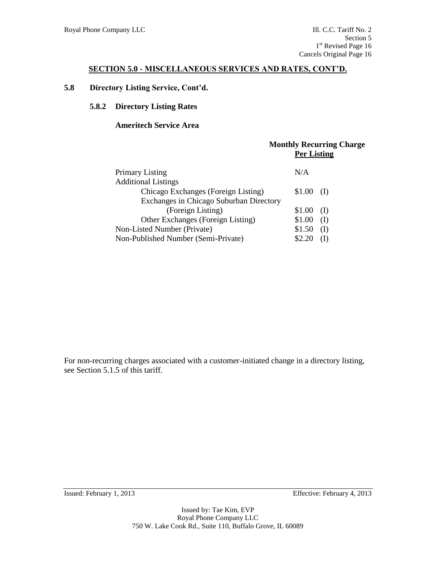# **5.8 Directory Listing Service, Cont'd.**

#### **5.8.2 Directory Listing Rates**

#### **Ameritech Service Area**

|                                         | <b>Monthly Recurring Charge</b><br><b>Per Listing</b> |
|-----------------------------------------|-------------------------------------------------------|
| <b>Primary Listing</b>                  | N/A                                                   |
| <b>Additional Listings</b>              |                                                       |
| Chicago Exchanges (Foreign Listing)     | \$1.00<br>(I)                                         |
| Exchanges in Chicago Suburban Directory |                                                       |
| (Foreign Listing)                       | \$1.00<br>(I)                                         |
| Other Exchanges (Foreign Listing)       | \$1.00<br>(I)                                         |
| Non-Listed Number (Private)             | \$1.50<br>(I)                                         |
| Non-Published Number (Semi-Private)     |                                                       |

For non-recurring charges associated with a customer-initiated change in a directory listing, see Section 5.1.5 of this tariff.

Issued: February 1, 2013 Effective: February 4, 2013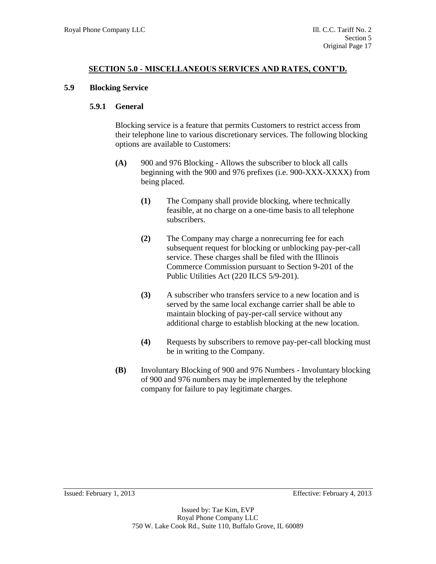#### **5.9 Blocking Service**

#### **5.9.1 General**

Blocking service is a feature that permits Customers to restrict access from their telephone line to various discretionary services. The following blocking options are available to Customers:

- **(A)** 900 and 976 Blocking Allows the subscriber to block all calls beginning with the 900 and 976 prefixes (i.e. 900-XXX-XXXX) from being placed.
	- **(1)** The Company shall provide blocking, where technically feasible, at no charge on a one-time basis to all telephone subscribers.
	- **(2)** The Company may charge a nonrecurring fee for each subsequent request for blocking or unblocking pay-per-call service. These charges shall be filed with the Illinois Commerce Commission pursuant to Section 9-201 of the Public Utilities Act (220 ILCS 5/9-201).
	- **(3)** A subscriber who transfers service to a new location and is served by the same local exchange carrier shall be able to maintain blocking of pay-per-call service without any additional charge to establish blocking at the new location.
	- **(4)** Requests by subscribers to remove pay-per-call blocking must be in writing to the Company.
- **(B)** Involuntary Blocking of 900 and 976 Numbers Involuntary blocking of 900 and 976 numbers may be implemented by the telephone company for failure to pay legitimate charges.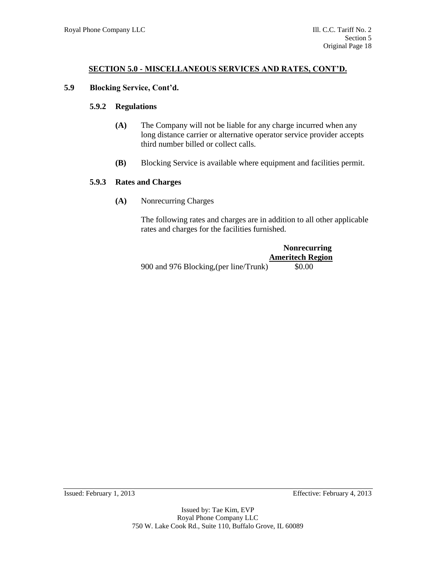#### **5.9 Blocking Service, Cont'd.**

#### **5.9.2 Regulations**

- **(A)** The Company will not be liable for any charge incurred when any long distance carrier or alternative operator service provider accepts third number billed or collect calls.
- **(B)** Blocking Service is available where equipment and facilities permit.

#### **5.9.3 Rates and Charges**

**(A)** Nonrecurring Charges

The following rates and charges are in addition to all other applicable rates and charges for the facilities furnished.

|                                        | <b>Nonrecurring</b>     |
|----------------------------------------|-------------------------|
|                                        | <b>Ameritech Region</b> |
| 900 and 976 Blocking, (per line/Trunk) | \$0.00                  |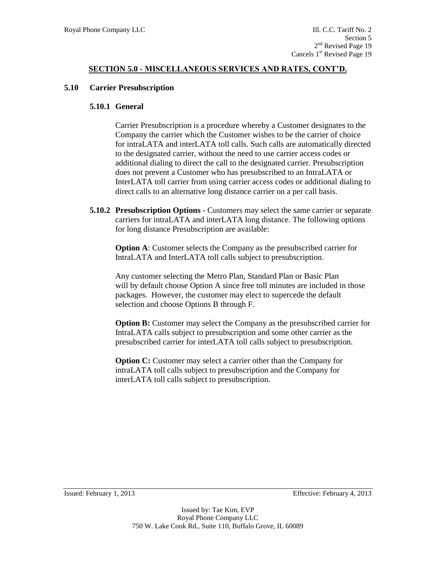#### **5.10 Carrier Presubscription**

#### **5.10.1 General**

Carrier Presubscription is a procedure whereby a Customer designates to the Company the carrier which the Customer wishes to be the carrier of choice for intraLATA and interLATA toll calls. Such calls are automatically directed to the designated carrier, without the need to use carrier access codes or additional dialing to direct the call to the designated carrier. Presubscription does not prevent a Customer who has presubscribed to an IntraLATA or InterLATA toll carrier from using carrier access codes or additional dialing to direct calls to an alternative long distance carrier on a per call basis.

**5.10.2 Presubscription Options** - Customers may select the same carrier or separate carriers for intraLATA and interLATA long distance. The following options for long distance Presubscription are available:

**Option A:** Customer selects the Company as the presubscribed carrier for IntraLATA and InterLATA toll calls subject to presubscription.

Any customer selecting the Metro Plan, Standard Plan or Basic Plan will by default choose Option A since free toll minutes are included in those packages. However, the customer may elect to supercede the default selection and choose Options B through F.

**Option B:** Customer may select the Company as the presubscribed carrier for IntraLATA calls subject to presubscription and some other carrier as the presubscribed carrier for interLATA toll calls subject to presubscription.

**Option C:** Customer may select a carrier other than the Company for intraLATA toll calls subject to presubscription and the Company for interLATA toll calls subject to presubscription.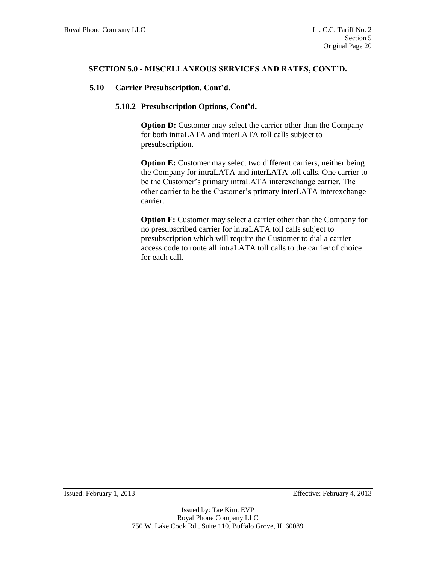#### **5.10 Carrier Presubscription, Cont'd.**

#### **5.10.2 Presubscription Options, Cont'd.**

**Option D:** Customer may select the carrier other than the Company for both intraLATA and interLATA toll calls subject to presubscription.

**Option E:** Customer may select two different carriers, neither being the Company for intraLATA and interLATA toll calls. One carrier to be the Customer's primary intraLATA interexchange carrier. The other carrier to be the Customer's primary interLATA interexchange carrier.

**Option F:** Customer may select a carrier other than the Company for no presubscribed carrier for intraLATA toll calls subject to presubscription which will require the Customer to dial a carrier access code to route all intraLATA toll calls to the carrier of choice for each call.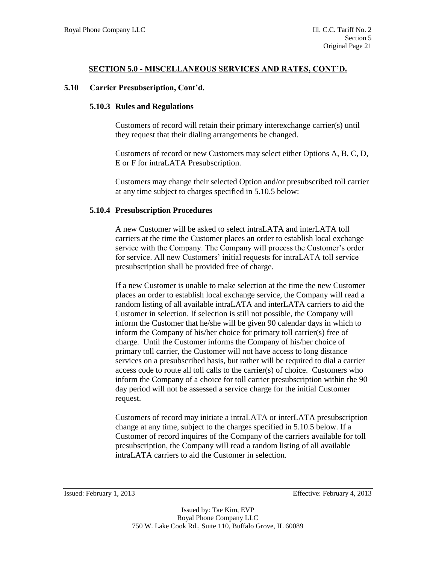#### **5.10 Carrier Presubscription, Cont'd.**

#### **5.10.3 Rules and Regulations**

Customers of record will retain their primary interexchange carrier(s) until they request that their dialing arrangements be changed.

Customers of record or new Customers may select either Options A, B, C, D, E or F for intraLATA Presubscription.

Customers may change their selected Option and/or presubscribed toll carrier at any time subject to charges specified in 5.10.5 below:

#### **5.10.4 Presubscription Procedures**

A new Customer will be asked to select intraLATA and interLATA toll carriers at the time the Customer places an order to establish local exchange service with the Company. The Company will process the Customer's order for service. All new Customers' initial requests for intraLATA toll service presubscription shall be provided free of charge.

If a new Customer is unable to make selection at the time the new Customer places an order to establish local exchange service, the Company will read a random listing of all available intraLATA and interLATA carriers to aid the Customer in selection. If selection is still not possible, the Company will inform the Customer that he/she will be given 90 calendar days in which to inform the Company of his/her choice for primary toll carrier(s) free of charge. Until the Customer informs the Company of his/her choice of primary toll carrier, the Customer will not have access to long distance services on a presubscribed basis, but rather will be required to dial a carrier access code to route all toll calls to the carrier(s) of choice. Customers who inform the Company of a choice for toll carrier presubscription within the 90 day period will not be assessed a service charge for the initial Customer request.

Customers of record may initiate a intraLATA or interLATA presubscription change at any time, subject to the charges specified in 5.10.5 below. If a Customer of record inquires of the Company of the carriers available for toll presubscription, the Company will read a random listing of all available intraLATA carriers to aid the Customer in selection.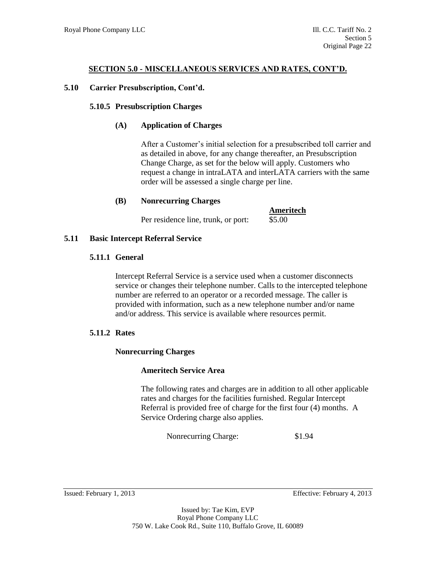# **5.10 Carrier Presubscription, Cont'd.**

# **5.10.5 Presubscription Charges**

# **(A) Application of Charges**

After a Customer's initial selection for a presubscribed toll carrier and as detailed in above, for any change thereafter, an Presubscription Change Charge, as set for the below will apply. Customers who request a change in intraLATA and interLATA carriers with the same order will be assessed a single charge per line.

# **(B) Nonrecurring Charges**

Per residence line, trunk, or port: \$5.00

# **Ameritech**

# **5.11 Basic Intercept Referral Service**

# **5.11.1 General**

Intercept Referral Service is a service used when a customer disconnects service or changes their telephone number. Calls to the intercepted telephone number are referred to an operator or a recorded message. The caller is provided with information, such as a new telephone number and/or name and/or address. This service is available where resources permit.

# **5.11.2 Rates**

# **Nonrecurring Charges**

# **Ameritech Service Area**

The following rates and charges are in addition to all other applicable rates and charges for the facilities furnished. Regular Intercept Referral is provided free of charge for the first four (4) months. A Service Ordering charge also applies.

Nonrecurring Charge: \$1.94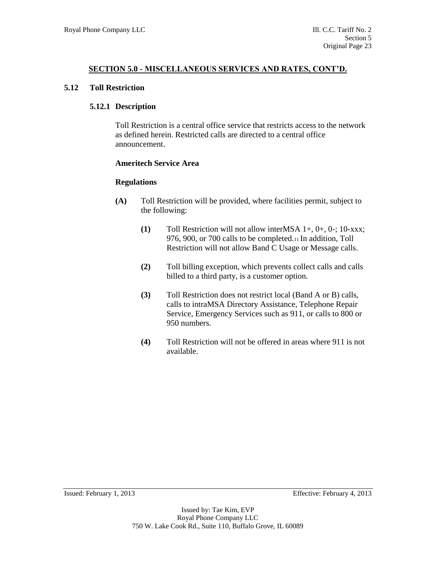#### **5.12 Toll Restriction**

#### **5.12.1 Description**

Toll Restriction is a central office service that restricts access to the network as defined herein. Restricted calls are directed to a central office announcement.

#### **Ameritech Service Area**

#### **Regulations**

- **(A)** Toll Restriction will be provided, where facilities permit, subject to the following:
	- **(1)** Toll Restriction will not allow interMSA 1+, 0+, 0-; 10-xxx; 976, 900, or 700 calls to be completed.11 In addition, Toll Restriction will not allow Band C Usage or Message calls.
	- **(2)** Toll billing exception, which prevents collect calls and calls billed to a third party, is a customer option.
	- **(3)** Toll Restriction does not restrict local (Band A or B) calls, calls to intraMSA Directory Assistance, Telephone Repair Service, Emergency Services such as 911, or calls to 800 or 950 numbers.
	- **(4)** Toll Restriction will not be offered in areas where 911 is not available.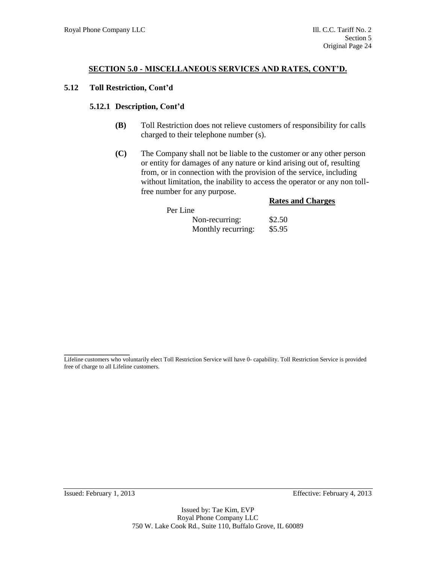#### **5.12 Toll Restriction, Cont'd**

#### **5.12.1 Description, Cont'd**

- **(B)** Toll Restriction does not relieve customers of responsibility for calls charged to their telephone number (s).
- **(C)** The Company shall not be liable to the customer or any other person or entity for damages of any nature or kind arising out of, resulting from, or in connection with the provision of the service, including without limitation, the inability to access the operator or any non tollfree number for any purpose.

|                    | <b>Rates and Charges</b> |
|--------------------|--------------------------|
| Per Line           |                          |
| Non-recurring:     | \$2.50                   |
| Monthly recurring: | \$5.95                   |

Issued: February 1, 2013 Effective: February 4, 2013

**\_\_\_\_\_\_\_\_\_\_\_\_\_\_\_\_** Lifeline customers who voluntarily elect Toll Restriction Service will have 0- capability. Toll Restriction Service is provided free of charge to all Lifeline customers.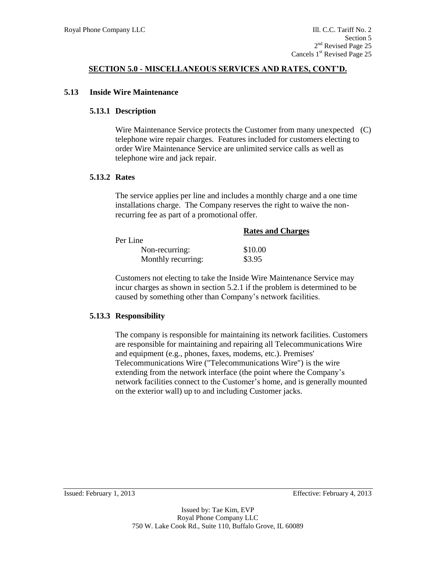#### **5.13 Inside Wire Maintenance**

#### **5.13.1 Description**

Wire Maintenance Service protects the Customer from many unexpected (C) telephone wire repair charges. Features included for customers electing to order Wire Maintenance Service are unlimited service calls as well as telephone wire and jack repair.

#### **5.13.2 Rates**

The service applies per line and includes a monthly charge and a one time installations charge. The Company reserves the right to waive the nonrecurring fee as part of a promotional offer.

|                    | <b>Rates and Charges</b> |
|--------------------|--------------------------|
| Per Line           |                          |
| Non-recurring:     | \$10.00                  |
| Monthly recurring: | \$3.95                   |

Customers not electing to take the Inside Wire Maintenance Service may incur charges as shown in section 5.2.1 if the problem is determined to be caused by something other than Company's network facilities.

#### **5.13.3 Responsibility**

The company is responsible for maintaining its network facilities. Customers are responsible for maintaining and repairing all Telecommunications Wire and equipment (e.g., phones, faxes, modems, etc.). Premises' Telecommunications Wire ("Telecommunications Wire") is the wire extending from the network interface (the point where the Company's network facilities connect to the Customer's home, and is generally mounted on the exterior wall) up to and including Customer jacks.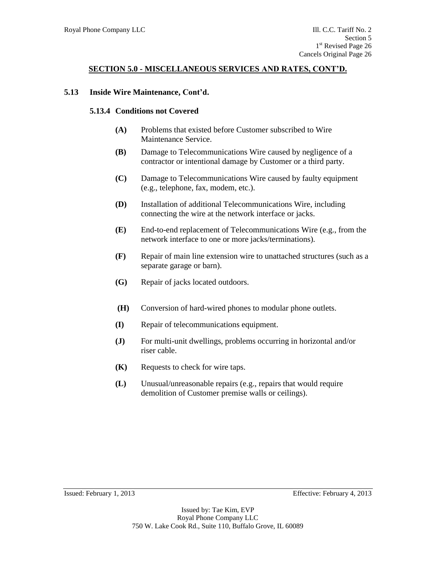#### **5.13 Inside Wire Maintenance, Cont'd.**

#### **5.13.4 Conditions not Covered**

- **(A)** Problems that existed before Customer subscribed to Wire Maintenance Service.
- **(B)** Damage to Telecommunications Wire caused by negligence of a contractor or intentional damage by Customer or a third party.
- **(C)** Damage to Telecommunications Wire caused by faulty equipment (e.g., telephone, fax, modem, etc.).
- **(D)** Installation of additional Telecommunications Wire, including connecting the wire at the network interface or jacks.
- **(E)** End-to-end replacement of Telecommunications Wire (e.g., from the network interface to one or more jacks/terminations).
- **(F)** Repair of main line extension wire to unattached structures (such as a separate garage or barn).
- **(G)** Repair of jacks located outdoors. .
- **(H)** Conversion of hard-wired phones to modular phone outlets.
- **(I)** Repair of telecommunications equipment.
- **(J)** For multi-unit dwellings, problems occurring in horizontal and/or riser cable.
- **(K)** Requests to check for wire taps.
- **(L)** Unusual/unreasonable repairs (e.g., repairs that would require demolition of Customer premise walls or ceilings).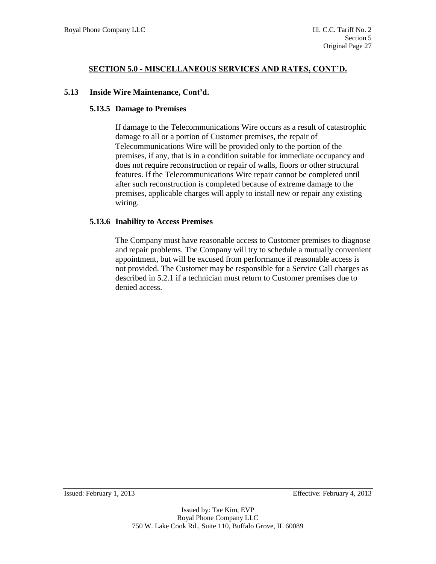#### **5.13 Inside Wire Maintenance, Cont'd.**

#### **5.13.5 Damage to Premises**

If damage to the Telecommunications Wire occurs as a result of catastrophic damage to all or a portion of Customer premises, the repair of Telecommunications Wire will be provided only to the portion of the premises, if any, that is in a condition suitable for immediate occupancy and does not require reconstruction or repair of walls, floors or other structural features. If the Telecommunications Wire repair cannot be completed until after such reconstruction is completed because of extreme damage to the premises, applicable charges will apply to install new or repair any existing wiring.

#### **5.13.6 Inability to Access Premises**

The Company must have reasonable access to Customer premises to diagnose and repair problems. The Company will try to schedule a mutually convenient appointment, but will be excused from performance if reasonable access is not provided. The Customer may be responsible for a Service Call charges as described in 5.2.1 if a technician must return to Customer premises due to denied access.

Issued: February 1, 2013 Effective: February 4, 2013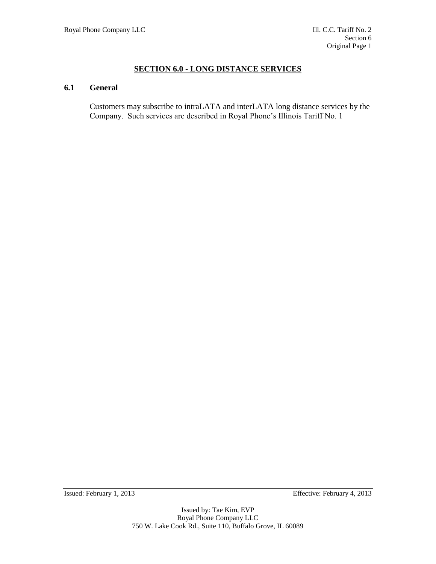# **SECTION 6.0 - LONG DISTANCE SERVICES**

#### **6.1 General**

Customers may subscribe to intraLATA and interLATA long distance services by the Company. Such services are described in Royal Phone's Illinois Tariff No. 1

Issued: February 1, 2013 Effective: February 4, 2013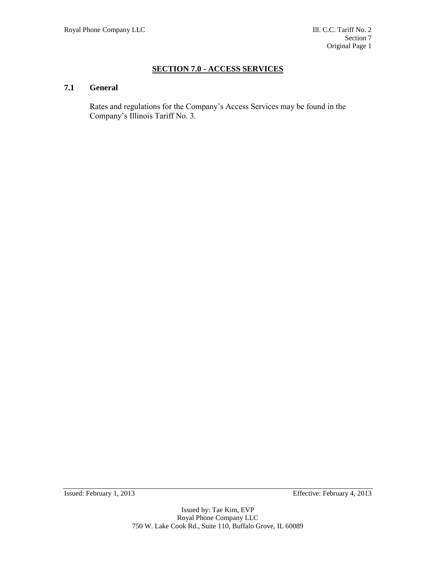# **SECTION 7.0 - ACCESS SERVICES**

# **7.1 General**

Rates and regulations for the Company's Access Services may be found in the Company's Illinois Tariff No. 3.

Issued: February 1, 2013 Effective: February 4, 2013